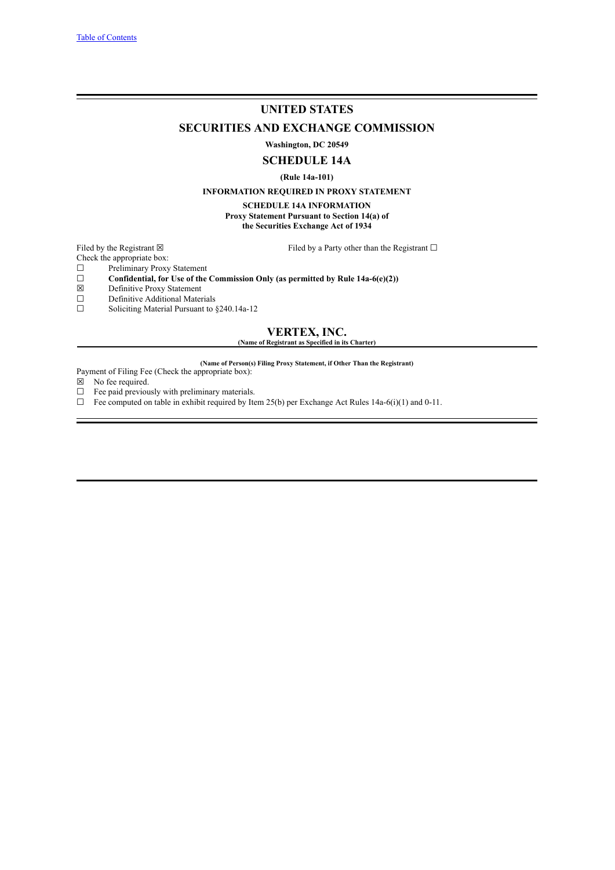## **UNITED STATES**

**SECURITIES AND EXCHANGE COMMISSION**

**Washington, DC 20549**

## **SCHEDULE 14A**

**(Rule 14a-101)**

## **INFORMATION REQUIRED IN PROXY STATEMENT**

**SCHEDULE 14A INFORMATION Proxy Statement Pursuant to Section 14(a) of**

**the Securities Exchange Act of 1934**

Filed by the Registrant  $\boxtimes$  Filed by a Party other than the Registrant  $\Box$ 

Check the appropriate box:

 $\Box$  Preliminary Proxy Statement<br> $\Box$  Confidential, for Use of the

- ☐ **Confidential, for Use of the Commission Only (as permitted by Rule 14a-6(e)(2))**
- $\boxtimes$  Definitive Proxy Statement<br>
Definitive Additional Mater
- $\Box$  Definitive Additional Materials<br> $\Box$  Soliciting Material Pursuant to

Soliciting Material Pursuant to §240.14a-12

## **VERTEX, INC. (Name of Registrant as Specified in its Charter)**

**(Name of Person(s) Filing Proxy Statement, if Other Than the Registrant)** Payment of Filing Fee (Check the appropriate box):

- $\boxtimes$  No fee required.
- $\Box$  Fee paid previously with preliminary materials.
- $\Box$  Fee computed on table in exhibit required by Item 25(b) per Exchange Act Rules 14a-6(i)(1) and 0-11.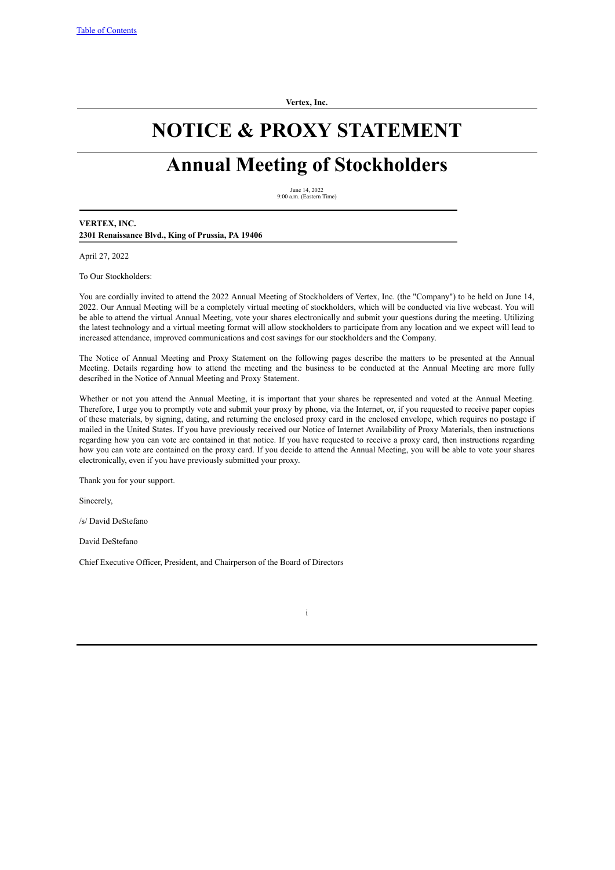**Vertex, Inc.**

## **NOTICE & PROXY STATEMENT**

# **Annual Meeting of Stockholders**

June 14, 2022 9:00 a.m. (Eastern Time)

## **VERTEX, INC. 2301 Renaissance Blvd., King of Prussia, PA 19406**

April 27, 2022

To Our Stockholders:

You are cordially invited to attend the 2022 Annual Meeting of Stockholders of Vertex, Inc. (the "Company") to be held on June 14, 2022. Our Annual Meeting will be a completely virtual meeting of stockholders, which will be conducted via live webcast. You will be able to attend the virtual Annual Meeting, vote your shares electronically and submit your questions during the meeting. Utilizing the latest technology and a virtual meeting format will allow stockholders to participate from any location and we expect will lead to increased attendance, improved communications and cost savings for our stockholders and the Company.

The Notice of Annual Meeting and Proxy Statement on the following pages describe the matters to be presented at the Annual Meeting. Details regarding how to attend the meeting and the business to be conducted at the Annual Meeting are more fully described in the Notice of Annual Meeting and Proxy Statement.

Whether or not you attend the Annual Meeting, it is important that your shares be represented and voted at the Annual Meeting. Therefore, I urge you to promptly vote and submit your proxy by phone, via the Internet, or, if you requested to receive paper copies of these materials, by signing, dating, and returning the enclosed proxy card in the enclosed envelope, which requires no postage if mailed in the United States. If you have previously received our Notice of Internet Availability of Proxy Materials, then instructions regarding how you can vote are contained in that notice. If you have requested to receive a proxy card, then instructions regarding how you can vote are contained on the proxy card. If you decide to attend the Annual Meeting, you will be able to vote your shares electronically, even if you have previously submitted your proxy.

Thank you for your support.

Sincerely,

/s/ David DeStefano

David DeStefano

Chief Executive Officer, President, and Chairperson of the Board of Directors

i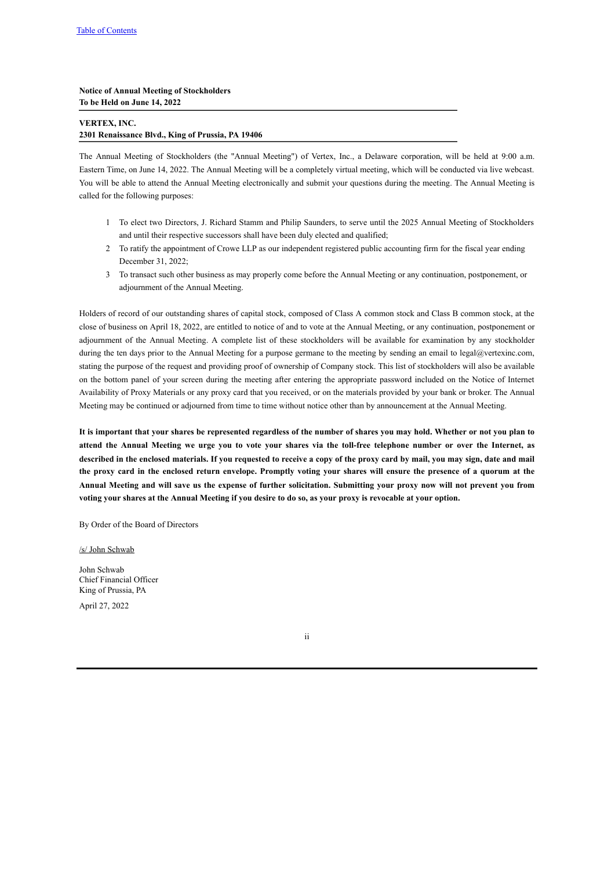**Notice of Annual Meeting of Stockholders To be Held on June 14, 2022**

## **VERTEX, INC. 2301 Renaissance Blvd., King of Prussia, PA 19406**

The Annual Meeting of Stockholders (the "Annual Meeting") of Vertex, Inc., a Delaware corporation, will be held at 9:00 a.m. Eastern Time, on June 14, 2022. The Annual Meeting will be a completely virtual meeting, which will be conducted via live webcast. You will be able to attend the Annual Meeting electronically and submit your questions during the meeting. The Annual Meeting is called for the following purposes:

- 1 To elect two Directors, J. Richard Stamm and Philip Saunders, to serve until the 2025 Annual Meeting of Stockholders and until their respective successors shall have been duly elected and qualified;
- 2 To ratify the appointment of Crowe LLP as our independent registered public accounting firm for the fiscal year ending December 31, 2022;
- 3 To transact such other business as may properly come before the Annual Meeting or any continuation, postponement, or adjournment of the Annual Meeting.

Holders of record of our outstanding shares of capital stock, composed of Class A common stock and Class B common stock, at the close of business on April 18, 2022, are entitled to notice of and to vote at the Annual Meeting, or any continuation, postponement or adjournment of the Annual Meeting. A complete list of these stockholders will be available for examination by any stockholder during the ten days prior to the Annual Meeting for a purpose germane to the meeting by sending an email to legal@vertexinc.com, stating the purpose of the request and providing proof of ownership of Company stock. This list of stockholders will also be available on the bottom panel of your screen during the meeting after entering the appropriate password included on the Notice of Internet Availability of Proxy Materials or any proxy card that you received, or on the materials provided by your bank or broker. The Annual Meeting may be continued or adjourned from time to time without notice other than by announcement at the Annual Meeting.

It is important that your shares be represented regardless of the number of shares you may hold. Whether or not you plan to attend the Annual Meeting we urge you to vote your shares via the toll-free telephone number or over the Internet, as described in the enclosed materials. If you requested to receive a copy of the proxy card by mail, you may sign, date and mail the proxy card in the enclosed return envelope. Promptly voting your shares will ensure the presence of a quorum at the Annual Meeting and will save us the expense of further solicitation. Submitting your proxy now will not prevent you from voting your shares at the Annual Meeting if you desire to do so, as your proxy is revocable at your option.

By Order of the Board of Directors

/s/ John Schwab

John Schwab Chief Financial Officer King of Prussia, PA

April 27, 2022

ii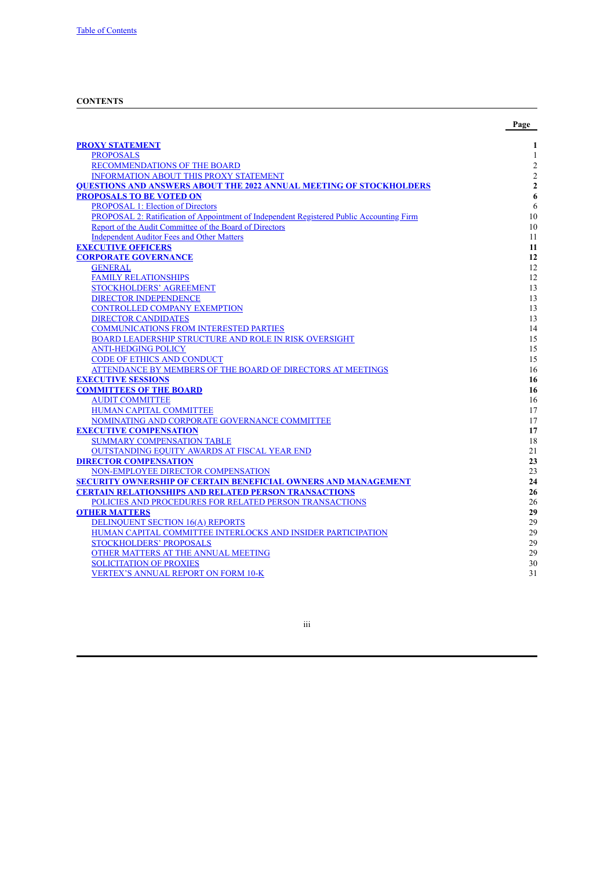## <span id="page-3-0"></span>**CONTENTS**

|                                                                                                                                      | Page                     |
|--------------------------------------------------------------------------------------------------------------------------------------|--------------------------|
|                                                                                                                                      |                          |
| <b>PROXY STATEMENT</b>                                                                                                               | 1                        |
| <b>PROPOSALS</b>                                                                                                                     | 1                        |
| RECOMMENDATIONS OF THE BOARD                                                                                                         | $\sqrt{2}$<br>$\sqrt{2}$ |
| <b>INFORMATION ABOUT THIS PROXY STATEMENT</b>                                                                                        |                          |
| <b>OUESTIONS AND ANSWERS ABOUT THE 2022 ANNUAL MEETING OF STOCKHOLDERS</b>                                                           | $\mathbf 2$<br>6         |
| <b>PROPOSALS TO BE VOTED ON</b>                                                                                                      | 6                        |
| <b>PROPOSAL 1: Election of Directors</b><br>PROPOSAL 2: Ratification of Appointment of Independent Registered Public Accounting Firm | 10                       |
| Report of the Audit Committee of the Board of Directors                                                                              | 10                       |
| <b>Independent Auditor Fees and Other Matters</b>                                                                                    | 11                       |
| <b>EXECUTIVE OFFICERS</b>                                                                                                            | 11                       |
| <b>CORPORATE GOVERNANCE</b>                                                                                                          | 12                       |
| <b>GENERAL</b>                                                                                                                       | 12                       |
| <b>FAMILY RELATIONSHIPS</b>                                                                                                          | 12                       |
| <b>STOCKHOLDERS' AGREEMENT</b>                                                                                                       | 13                       |
| <b>DIRECTOR INDEPENDENCE</b>                                                                                                         | 13                       |
| <b>CONTROLLED COMPANY EXEMPTION</b>                                                                                                  | 13                       |
|                                                                                                                                      |                          |
| <b>DIRECTOR CANDIDATES</b><br><b>COMMUNICATIONS FROM INTERESTED PARTIES</b>                                                          | 13<br>14                 |
| BOARD LEADERSHIP STRUCTURE AND ROLE IN RISK OVERSIGHT                                                                                | 15                       |
| <b>ANTI-HEDGING POLICY</b>                                                                                                           | 15                       |
| <b>CODE OF ETHICS AND CONDUCT</b>                                                                                                    | 15                       |
| ATTENDANCE BY MEMBERS OF THE BOARD OF DIRECTORS AT MEETINGS                                                                          | 16                       |
| <b>EXECUTIVE SESSIONS</b>                                                                                                            | 16                       |
| <b>COMMITTEES OF THE BOARD</b>                                                                                                       | 16                       |
|                                                                                                                                      |                          |
| <b>AUDIT COMMITTEE</b>                                                                                                               | 16<br>17                 |
| <b>HUMAN CAPITAL COMMITTEE</b><br>NOMINATING AND CORPORATE GOVERNANCE COMMITTEE                                                      | 17                       |
| <b>EXECUTIVE COMPENSATION</b>                                                                                                        | 17                       |
| <b>SUMMARY COMPENSATION TABLE</b>                                                                                                    | 18                       |
| <b>OUTSTANDING EQUITY AWARDS AT FISCAL YEAR END</b>                                                                                  | 21                       |
| <b>DIRECTOR COMPENSATION</b>                                                                                                         | 23                       |
| NON-EMPLOYEE DIRECTOR COMPENSATION                                                                                                   | 23                       |
| <b>SECURITY OWNERSHIP OF CERTAIN BENEFICIAL OWNERS AND MANAGEMENT</b>                                                                | 24                       |
| <b>CERTAIN RELATIONSHIPS AND RELATED PERSON TRANSACTIONS</b>                                                                         | 26                       |
| POLICIES AND PROCEDURES FOR RELATED PERSON TRANSACTIONS                                                                              | 26                       |
| <b>OTHER MATTERS</b>                                                                                                                 | 29                       |
| <b>DELINQUENT SECTION 16(A) REPORTS</b>                                                                                              | 29                       |
| HUMAN CAPITAL COMMITTEE INTERLOCKS AND INSIDER PARTICIPATION                                                                         | 29                       |
| <b>STOCKHOLDERS' PROPOSALS</b>                                                                                                       | 29                       |
| OTHER MATTERS AT THE ANNUAL MEETING                                                                                                  | 29                       |
| <b>SOLICITATION OF PROXIES</b>                                                                                                       | 30                       |
| <b>VERTEX'S ANNUAL REPORT ON FORM 10-K</b>                                                                                           | 31                       |
|                                                                                                                                      |                          |

iii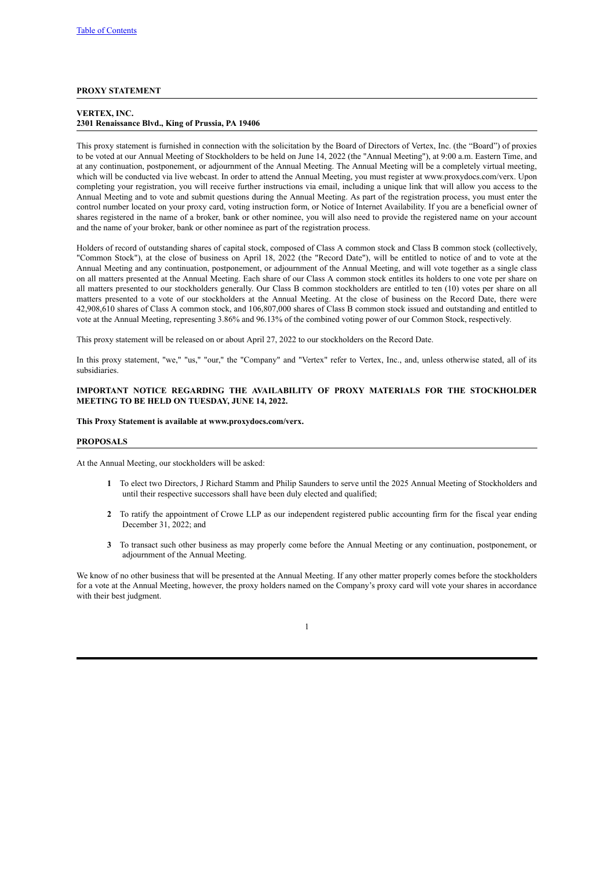## <span id="page-4-0"></span>**PROXY STATEMENT**

## **VERTEX, INC. 2301 Renaissance Blvd., King of Prussia, PA 19406**

This proxy statement is furnished in connection with the solicitation by the Board of Directors of Vertex, Inc. (the "Board") of proxies to be voted at our Annual Meeting of Stockholders to be held on June 14, 2022 (the "Annual Meeting"), at 9:00 a.m. Eastern Time, and at any continuation, postponement, or adjournment of the Annual Meeting. The Annual Meeting will be a completely virtual meeting, which will be conducted via live webcast. In order to attend the Annual Meeting, you must register at www.proxydocs.com/verx. Upon completing your registration, you will receive further instructions via email, including a unique link that will allow you access to the Annual Meeting and to vote and submit questions during the Annual Meeting. As part of the registration process, you must enter the control number located on your proxy card, voting instruction form, or Notice of Internet Availability. If you are a beneficial owner of shares registered in the name of a broker, bank or other nominee, you will also need to provide the registered name on your account and the name of your broker, bank or other nominee as part of the registration process.

Holders of record of outstanding shares of capital stock, composed of Class A common stock and Class B common stock (collectively, "Common Stock"), at the close of business on April 18, 2022 (the "Record Date"), will be entitled to notice of and to vote at the Annual Meeting and any continuation, postponement, or adjournment of the Annual Meeting, and will vote together as a single class on all matters presented at the Annual Meeting. Each share of our Class A common stock entitles its holders to one vote per share on all matters presented to our stockholders generally. Our Class B common stockholders are entitled to ten (10) votes per share on all matters presented to a vote of our stockholders at the Annual Meeting. At the close of business on the Record Date, there were 42,908,610 shares of Class A common stock, and 106,807,000 shares of Class B common stock issued and outstanding and entitled to vote at the Annual Meeting, representing 3.86% and 96.13% of the combined voting power of our Common Stock, respectively.

This proxy statement will be released on or about April 27, 2022 to our stockholders on the Record Date.

In this proxy statement, "we," "us," "our," the "Company" and "Vertex" refer to Vertex. Inc., and, unless otherwise stated, all of its subsidiaries.

#### **IMPORTANT NOTICE REGARDING THE AVAILABILITY OF PROXY MATERIALS FOR THE STOCKHOLDER MEETING TO BE HELD ON TUESDAY, JUNE 14, 2022.**

#### **This Proxy Statement is available at www.proxydocs.com/verx.**

## **PROPOSALS**

At the Annual Meeting, our stockholders will be asked:

- <span id="page-4-1"></span>**1** To elect two Directors, J Richard Stamm and Philip Saunders to serve until the 2025 Annual Meeting of Stockholders and until their respective successors shall have been duly elected and qualified;
- **2** To ratify the appointment of Crowe LLP as our independent registered public accounting firm for the fiscal year ending December 31, 2022; and
- **3** To transact such other business as may properly come before the Annual Meeting or any continuation, postponement, or adjournment of the Annual Meeting.

We know of no other business that will be presented at the Annual Meeting. If any other matter properly comes before the stockholders for a vote at the Annual Meeting, however, the proxy holders named on the Company's proxy card will vote your shares in accordance with their best judgment.

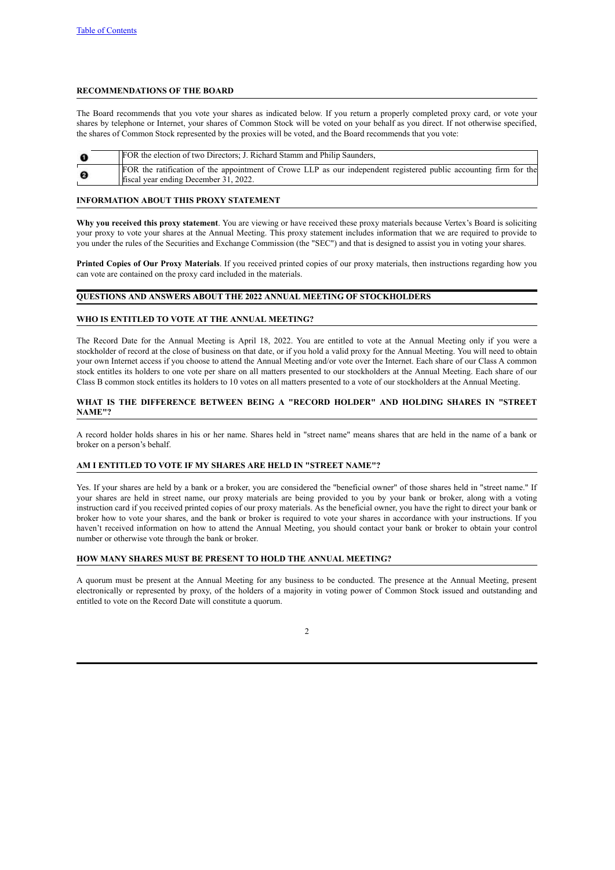## <span id="page-5-0"></span>**RECOMMENDATIONS OF THE BOARD**

The Board recommends that you vote your shares as indicated below. If you return a properly completed proxy card, or vote your shares by telephone or Internet, your shares of Common Stock will be voted on your behalf as you direct. If not otherwise specified, the shares of Common Stock represented by the proxies will be voted, and the Board recommends that you vote:

| Ð                     | FOR the election of two Directors; J. Richard Stamm and Philip Saunders,                                                                                   |
|-----------------------|------------------------------------------------------------------------------------------------------------------------------------------------------------|
| $\boldsymbol{\Theta}$ | FOR the ratification of the appointment of Crowe LLP as our independent registered public accounting firm for the<br>fiscal year ending December 31, 2022. |

## <span id="page-5-1"></span>**INFORMATION ABOUT THIS PROXY STATEMENT**

**Why you received this proxy statement**. You are viewing or have received these proxy materials because Vertex's Board is soliciting your proxy to vote your shares at the Annual Meeting. This proxy statement includes information that we are required to provide to you under the rules of the Securities and Exchange Commission (the "SEC") and that is designed to assist you in voting your shares.

**Printed Copies of Our Proxy Materials**. If you received printed copies of our proxy materials, then instructions regarding how you can vote are contained on the proxy card included in the materials.

## <span id="page-5-2"></span>**QUESTIONS AND ANSWERS ABOUT THE 2022 ANNUAL MEETING OF STOCKHOLDERS**

## **WHO IS ENTITLED TO VOTE AT THE ANNUAL MEETING?**

The Record Date for the Annual Meeting is April 18, 2022. You are entitled to vote at the Annual Meeting only if you were a stockholder of record at the close of business on that date, or if you hold a valid proxy for the Annual Meeting. You will need to obtain your own Internet access if you choose to attend the Annual Meeting and/or vote over the Internet. Each share of our Class A common stock entitles its holders to one vote per share on all matters presented to our stockholders at the Annual Meeting. Each share of our Class B common stock entitles its holders to 10 votes on all matters presented to a vote of our stockholders at the Annual Meeting.

## **WHAT IS THE DIFFERENCE BETWEEN BEING A "RECORD HOLDER" AND HOLDING SHARES IN "STREET NAME"?**

A record holder holds shares in his or her name. Shares held in "street name" means shares that are held in the name of a bank or broker on a person's behalf.

## **AM I ENTITLED TO VOTE IF MY SHARES ARE HELD IN "STREET NAME"?**

Yes. If your shares are held by a bank or a broker, you are considered the "beneficial owner" of those shares held in "street name." If your shares are held in street name, our proxy materials are being provided to you by your bank or broker, along with a voting instruction card if you received printed copies of our proxy materials. As the beneficial owner, you have the right to direct your bank or broker how to vote your shares, and the bank or broker is required to vote your shares in accordance with your instructions. If you haven't received information on how to attend the Annual Meeting, you should contact your bank or broker to obtain your control number or otherwise vote through the bank or broker.

## **HOW MANY SHARES MUST BE PRESENT TO HOLD THE ANNUAL MEETING?**

A quorum must be present at the Annual Meeting for any business to be conducted. The presence at the Annual Meeting, present electronically or represented by proxy, of the holders of a majority in voting power of Common Stock issued and outstanding and entitled to vote on the Record Date will constitute a quorum.

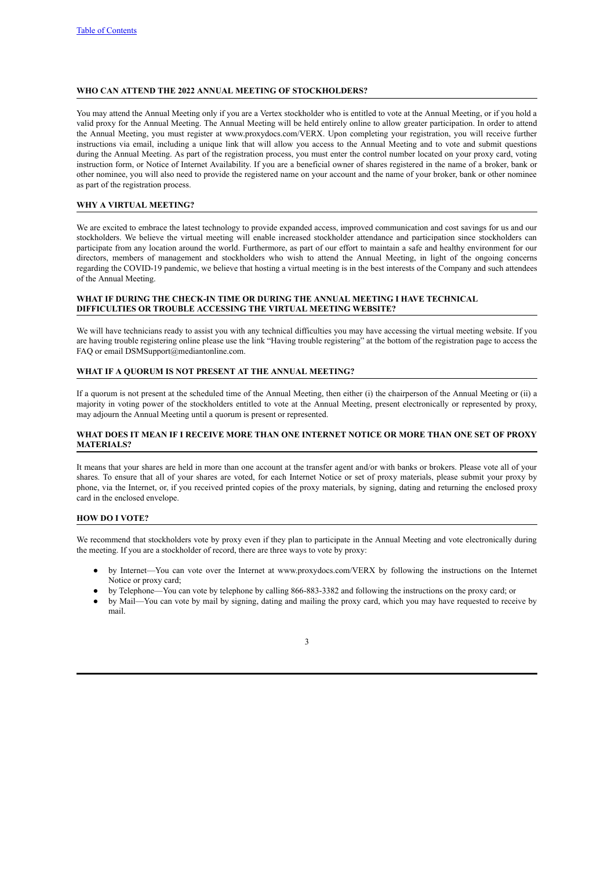## **WHO CAN ATTEND THE 2022 ANNUAL MEETING OF STOCKHOLDERS?**

You may attend the Annual Meeting only if you are a Vertex stockholder who is entitled to vote at the Annual Meeting, or if you hold a valid proxy for the Annual Meeting. The Annual Meeting will be held entirely online to allow greater participation. In order to attend the Annual Meeting, you must register at www.proxydocs.com/VERX. Upon completing your registration, you will receive further instructions via email, including a unique link that will allow you access to the Annual Meeting and to vote and submit questions during the Annual Meeting. As part of the registration process, you must enter the control number located on your proxy card, voting instruction form, or Notice of Internet Availability. If you are a beneficial owner of shares registered in the name of a broker, bank or other nominee, you will also need to provide the registered name on your account and the name of your broker, bank or other nominee as part of the registration process.

#### **WHY A VIRTUAL MEETING?**

We are excited to embrace the latest technology to provide expanded access, improved communication and cost savings for us and our stockholders. We believe the virtual meeting will enable increased stockholder attendance and participation since stockholders can participate from any location around the world. Furthermore, as part of our effort to maintain a safe and healthy environment for our directors, members of management and stockholders who wish to attend the Annual Meeting, in light of the ongoing concerns regarding the COVID-19 pandemic, we believe that hosting a virtual meeting is in the best interests of the Company and such attendees of the Annual Meeting.

## **WHAT IF DURING THE CHECK-IN TIME OR DURING THE ANNUAL MEETING I HAVE TECHNICAL DIFFICULTIES OR TROUBLE ACCESSING THE VIRTUAL MEETING WEBSITE?**

We will have technicians ready to assist you with any technical difficulties you may have accessing the virtual meeting website. If you are having trouble registering online please use the link "Having trouble registering" at the bottom of the registration page to access the FAQ or email DSMSupport@mediantonline.com.

## **WHAT IF A QUORUM IS NOT PRESENT AT THE ANNUAL MEETING?**

If a quorum is not present at the scheduled time of the Annual Meeting, then either (i) the chairperson of the Annual Meeting or (ii) a majority in voting power of the stockholders entitled to vote at the Annual Meeting, present electronically or represented by proxy, may adjourn the Annual Meeting until a quorum is present or represented.

## **WHAT DOES IT MEAN IF I RECEIVE MORE THAN ONE INTERNET NOTICE OR MORE THAN ONE SET OF PROXY MATERIALS?**

It means that your shares are held in more than one account at the transfer agent and/or with banks or brokers. Please vote all of your shares. To ensure that all of your shares are voted, for each Internet Notice or set of proxy materials, please submit your proxy by phone, via the Internet, or, if you received printed copies of the proxy materials, by signing, dating and returning the enclosed proxy card in the enclosed envelope.

## **HOW DO I VOTE?**

We recommend that stockholders vote by proxy even if they plan to participate in the Annual Meeting and vote electronically during the meeting. If you are a stockholder of record, there are three ways to vote by proxy:

- by Internet—You can vote over the Internet at www.proxydocs.com/VERX by following the instructions on the Internet Notice or proxy card;
- by Telephone—You can vote by telephone by calling 866-883-3382 and following the instructions on the proxy card; or
- by Mail—You can vote by mail by signing, dating and mailing the proxy card, which you may have requested to receive by mail.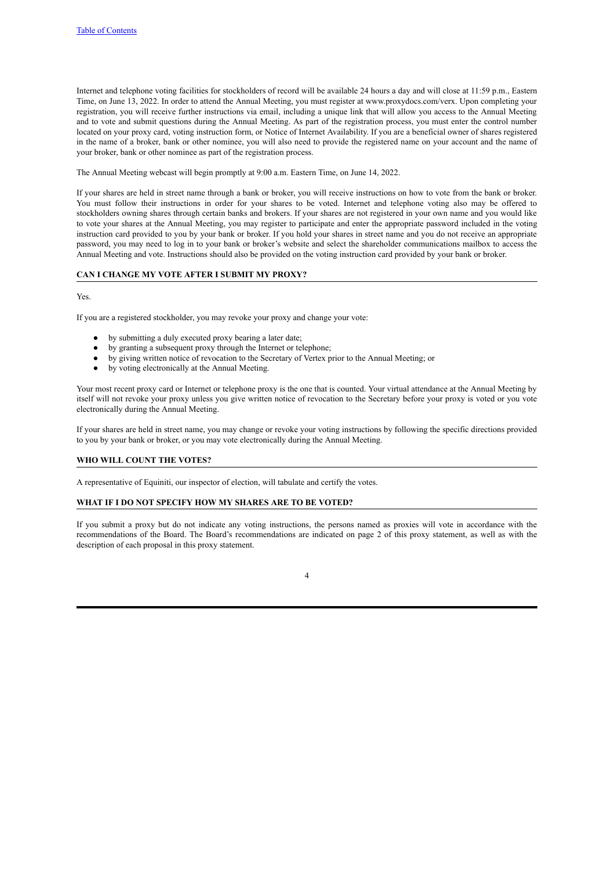Internet and telephone voting facilities for stockholders of record will be available 24 hours a day and will close at 11:59 p.m., Eastern Time, on June 13, 2022. In order to attend the Annual Meeting, you must register at www.proxydocs.com/verx. Upon completing your registration, you will receive further instructions via email, including a unique link that will allow you access to the Annual Meeting and to vote and submit questions during the Annual Meeting. As part of the registration process, you must enter the control number located on your proxy card, voting instruction form, or Notice of Internet Availability. If you are a beneficial owner of shares registered in the name of a broker, bank or other nominee, you will also need to provide the registered name on your account and the name of your broker, bank or other nominee as part of the registration process.

The Annual Meeting webcast will begin promptly at 9:00 a.m. Eastern Time, on June 14, 2022.

If your shares are held in street name through a bank or broker, you will receive instructions on how to vote from the bank or broker. You must follow their instructions in order for your shares to be voted. Internet and telephone voting also may be offered to stockholders owning shares through certain banks and brokers. If your shares are not registered in your own name and you would like to vote your shares at the Annual Meeting, you may register to participate and enter the appropriate password included in the voting instruction card provided to you by your bank or broker. If you hold your shares in street name and you do not receive an appropriate password, you may need to log in to your bank or broker's website and select the shareholder communications mailbox to access the Annual Meeting and vote. Instructions should also be provided on the voting instruction card provided by your bank or broker.

## **CAN I CHANGE MY VOTE AFTER I SUBMIT MY PROXY?**

#### Yes.

If you are a registered stockholder, you may revoke your proxy and change your vote:

- by submitting a duly executed proxy bearing a later date;
- by granting a subsequent proxy through the Internet or telephone;
- by giving written notice of revocation to the Secretary of Vertex prior to the Annual Meeting; or
- by voting electronically at the Annual Meeting.

Your most recent proxy card or Internet or telephone proxy is the one that is counted. Your virtual attendance at the Annual Meeting by itself will not revoke your proxy unless you give written notice of revocation to the Secretary before your proxy is voted or you vote electronically during the Annual Meeting.

If your shares are held in street name, you may change or revoke your voting instructions by following the specific directions provided to you by your bank or broker, or you may vote electronically during the Annual Meeting.

## **WHO WILL COUNT THE VOTES?**

A representative of Equiniti, our inspector of election, will tabulate and certify the votes.

## **WHAT IF I DO NOT SPECIFY HOW MY SHARES ARE TO BE VOTED?**

If you submit a proxy but do not indicate any voting instructions, the persons named as proxies will vote in accordance with the recommendations of the Board. The Board's recommendations are indicated on page 2 of this proxy statement, as well as with the description of each proposal in this proxy statement.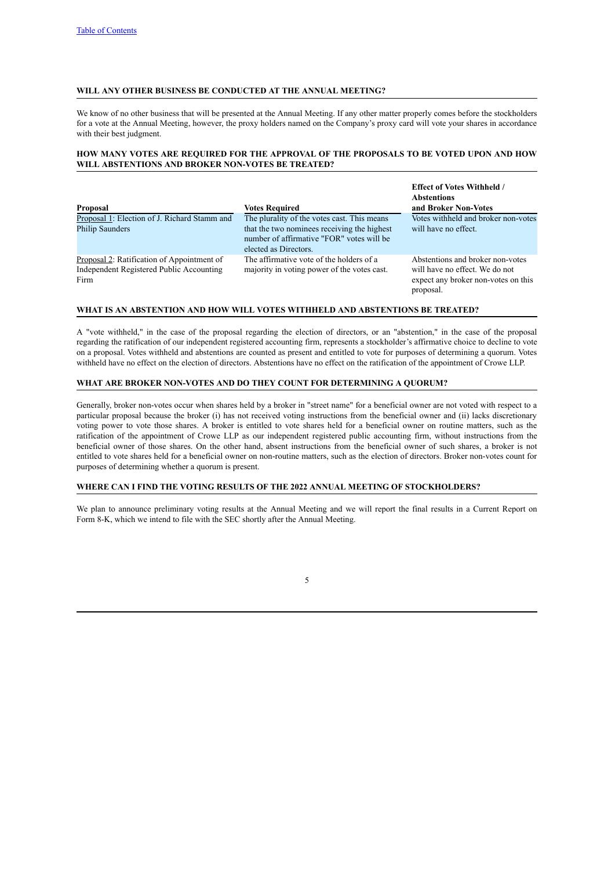## **WILL ANY OTHER BUSINESS BE CONDUCTED AT THE ANNUAL MEETING?**

We know of no other business that will be presented at the Annual Meeting. If any other matter properly comes before the stockholders for a vote at the Annual Meeting, however, the proxy holders named on the Company's proxy card will vote your shares in accordance with their best judgment.

## **HOW MANY VOTES ARE REQUIRED FOR THE APPROVAL OF THE PROPOSALS TO BE VOTED UPON AND HOW WILL ABSTENTIONS AND BROKER NON-VOTES BE TREATED?**

**Effect of Votes Withheld /**

| Proposal                                                                                       | <b>Votes Required</b>                                                                                                                                            | <b>E</b> Expect of votes withheid /<br><b>Abstentions</b><br>and Broker Non-Votes                                      |
|------------------------------------------------------------------------------------------------|------------------------------------------------------------------------------------------------------------------------------------------------------------------|------------------------------------------------------------------------------------------------------------------------|
| Proposal 1: Election of J. Richard Stamm and<br><b>Philip Saunders</b>                         | The plurality of the votes cast. This means<br>that the two nominees receiving the highest<br>number of affirmative "FOR" votes will be<br>elected as Directors. | Votes withheld and broker non-votes<br>will have no effect.                                                            |
| Proposal 2: Ratification of Appointment of<br>Independent Registered Public Accounting<br>Firm | The affirmative vote of the holders of a<br>majority in voting power of the votes cast.                                                                          | Abstentions and broker non-votes<br>will have no effect. We do not<br>expect any broker non-votes on this<br>proposal. |

## **WHAT IS AN ABSTENTION AND HOW WILL VOTES WITHHELD AND ABSTENTIONS BE TREATED?**

A "vote withheld," in the case of the proposal regarding the election of directors, or an "abstention," in the case of the proposal regarding the ratification of our independent registered accounting firm, represents a stockholder's affirmative choice to decline to vote on a proposal. Votes withheld and abstentions are counted as present and entitled to vote for purposes of determining a quorum. Votes withheld have no effect on the election of directors. Abstentions have no effect on the ratification of the appointment of Crowe LLP.

## **WHAT ARE BROKER NON-VOTES AND DO THEY COUNT FOR DETERMINING A QUORUM?**

Generally, broker non-votes occur when shares held by a broker in "street name" for a beneficial owner are not voted with respect to a particular proposal because the broker (i) has not received voting instructions from the beneficial owner and (ii) lacks discretionary voting power to vote those shares. A broker is entitled to vote shares held for a beneficial owner on routine matters, such as the ratification of the appointment of Crowe LLP as our independent registered public accounting firm, without instructions from the beneficial owner of those shares. On the other hand, absent instructions from the beneficial owner of such shares, a broker is not entitled to vote shares held for a beneficial owner on non-routine matters, such as the election of directors. Broker non-votes count for purposes of determining whether a quorum is present.

## **WHERE CAN I FIND THE VOTING RESULTS OF THE 2022 ANNUAL MEETING OF STOCKHOLDERS?**

We plan to announce preliminary voting results at the Annual Meeting and we will report the final results in a Current Report on Form 8-K, which we intend to file with the SEC shortly after the Annual Meeting.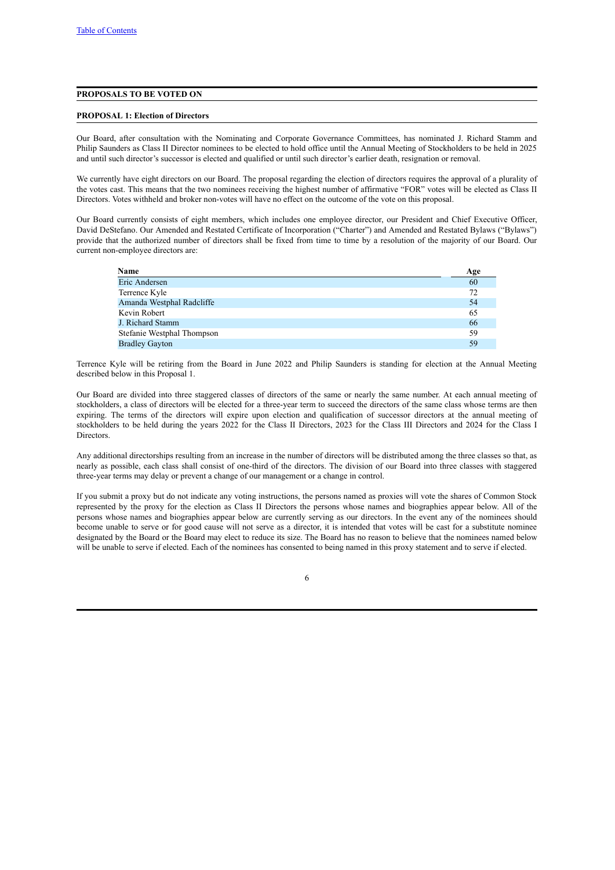## <span id="page-9-0"></span>**PROPOSALS TO BE VOTED ON**

#### <span id="page-9-1"></span>**PROPOSAL 1: Election of Directors**

Our Board, after consultation with the Nominating and Corporate Governance Committees, has nominated J. Richard Stamm and Philip Saunders as Class II Director nominees to be elected to hold office until the Annual Meeting of Stockholders to be held in 2025 and until such director's successor is elected and qualified or until such director's earlier death, resignation or removal.

We currently have eight directors on our Board. The proposal regarding the election of directors requires the approval of a plurality of the votes cast. This means that the two nominees receiving the highest number of affirmative "FOR" votes will be elected as Class II Directors. Votes withheld and broker non-votes will have no effect on the outcome of the vote on this proposal.

Our Board currently consists of eight members, which includes one employee director, our President and Chief Executive Officer, David DeStefano. Our Amended and Restated Certificate of Incorporation ("Charter") and Amended and Restated Bylaws ("Bylaws") provide that the authorized number of directors shall be fixed from time to time by a resolution of the majority of our Board. Our current non-employee directors are:

| <b>Name</b>                | Age |
|----------------------------|-----|
| Eric Andersen              | 60  |
| Terrence Kyle              | 72  |
| Amanda Westphal Radcliffe  | 54  |
| Kevin Robert               | 65  |
| J. Richard Stamm           | 66  |
| Stefanie Westphal Thompson | 59  |
| <b>Bradley Gayton</b>      | 59  |

Terrence Kyle will be retiring from the Board in June 2022 and Philip Saunders is standing for election at the Annual Meeting described below in this Proposal 1.

Our Board are divided into three staggered classes of directors of the same or nearly the same number. At each annual meeting of stockholders, a class of directors will be elected for a three-year term to succeed the directors of the same class whose terms are then expiring. The terms of the directors will expire upon election and qualification of successor directors at the annual meeting of stockholders to be held during the years 2022 for the Class II Directors, 2023 for the Class III Directors and 2024 for the Class I Directors.

Any additional directorships resulting from an increase in the number of directors will be distributed among the three classes so that, as nearly as possible, each class shall consist of one-third of the directors. The division of our Board into three classes with staggered three-year terms may delay or prevent a change of our management or a change in control.

If you submit a proxy but do not indicate any voting instructions, the persons named as proxies will vote the shares of Common Stock represented by the proxy for the election as Class II Directors the persons whose names and biographies appear below. All of the persons whose names and biographies appear below are currently serving as our directors. In the event any of the nominees should become unable to serve or for good cause will not serve as a director, it is intended that votes will be cast for a substitute nominee designated by the Board or the Board may elect to reduce its size. The Board has no reason to believe that the nominees named below will be unable to serve if elected. Each of the nominees has consented to being named in this proxy statement and to serve if elected.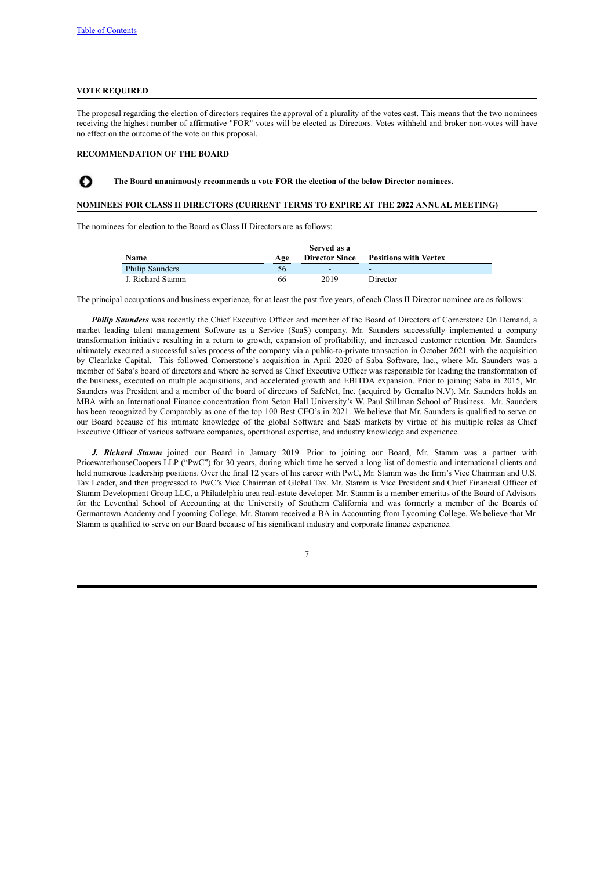## **VOTE REQUIRED**

Ω

The proposal regarding the election of directors requires the approval of a plurality of the votes cast. This means that the two nominees receiving the highest number of affirmative "FOR" votes will be elected as Directors. Votes withheld and broker non-votes will have no effect on the outcome of the vote on this proposal.

## **RECOMMENDATION OF THE BOARD**

**The Board unanimously recommends a vote FOR the election of the below Director nominees.**

#### **NOMINEES FOR CLASS II DIRECTORS (CURRENT TERMS TO EXPIRE AT THE 2022 ANNUAL MEETING)**

The nominees for election to the Board as Class II Directors are as follows:

|                        |     | Served as a |                                             |
|------------------------|-----|-------------|---------------------------------------------|
| <b>Name</b>            | Age |             | <b>Director Since Positions with Vertex</b> |
| <b>Philip Saunders</b> | 56  |             | -                                           |
| J. Richard Stamm       | 66  | 2019        | Director                                    |

The principal occupations and business experience, for at least the past five years, of each Class II Director nominee are as follows:

*Philip Saunders* was recently the Chief Executive Officer and member of the Board of Directors of Cornerstone On Demand, a market leading talent management Software as a Service (SaaS) company. Mr. Saunders successfully implemented a company transformation initiative resulting in a return to growth, expansion of profitability, and increased customer retention. Mr. Saunders ultimately executed a successful sales process of the company via a public-to-private transaction in October 2021 with the acquisition by Clearlake Capital. This followed Cornerstone's acquisition in April 2020 of Saba Software, Inc., where Mr. Saunders was a member of Saba's board of directors and where he served as Chief Executive Officer was responsible for leading the transformation of the business, executed on multiple acquisitions, and accelerated growth and EBITDA expansion. Prior to joining Saba in 2015, Mr. Saunders was President and a member of the board of directors of SafeNet, Inc. (acquired by Gemalto N.V). Mr. Saunders holds an MBA with an International Finance concentration from Seton Hall University's W. Paul Stillman School of Business. Mr. Saunders has been recognized by Comparably as one of the top 100 Best CEO's in 2021. We believe that Mr. Saunders is qualified to serve on our Board because of his intimate knowledge of the global Software and SaaS markets by virtue of his multiple roles as Chief Executive Officer of various software companies, operational expertise, and industry knowledge and experience.

*J. Richard Stamm* joined our Board in January 2019. Prior to joining our Board, Mr. Stamm was a partner with PricewaterhouseCoopers LLP ("PwC") for 30 years, during which time he served a long list of domestic and international clients and held numerous leadership positions. Over the final 12 years of his career with PwC, Mr. Stamm was the firm's Vice Chairman and U.S. Tax Leader, and then progressed to PwC's Vice Chairman of Global Tax. Mr. Stamm is Vice President and Chief Financial Officer of Stamm Development Group LLC, a Philadelphia area real-estate developer. Mr. Stamm is a member emeritus of the Board of Advisors for the Leventhal School of Accounting at the University of Southern California and was formerly a member of the Boards of Germantown Academy and Lycoming College. Mr. Stamm received a BA in Accounting from Lycoming College. We believe that Mr. Stamm is qualified to serve on our Board because of his significant industry and corporate finance experience.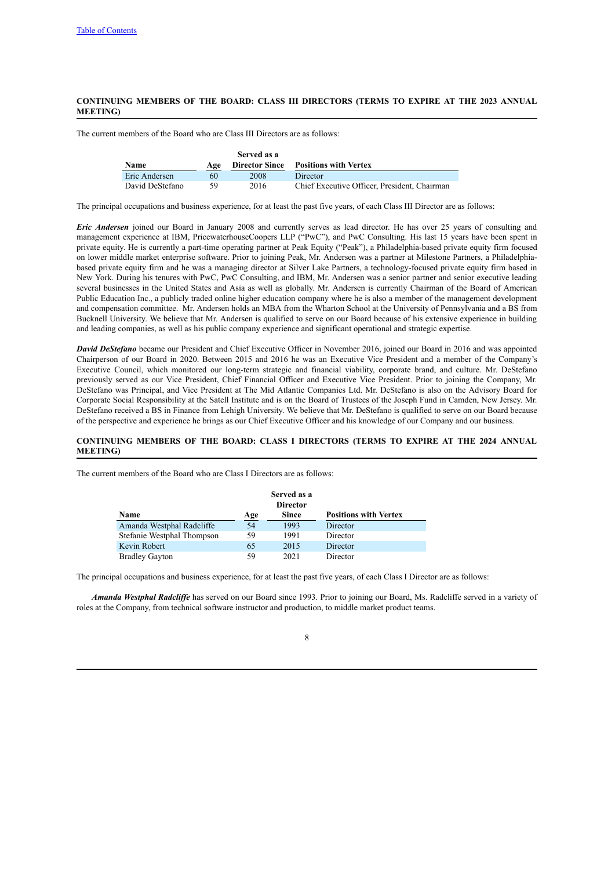## **CONTINUING MEMBERS OF THE BOARD: CLASS III DIRECTORS (TERMS TO EXPIRE AT THE 2023 ANNUAL MEETING)**

The current members of the Board who are Class III Directors are as follows:

|                 |     | Served as a           |                                              |
|-----------------|-----|-----------------------|----------------------------------------------|
| Name            | Age | <b>Director Since</b> | <b>Positions with Vertex</b>                 |
| Eric Andersen   | 60  | 2008                  | Director                                     |
| David DeStefano | 59  | 2016                  | Chief Executive Officer, President, Chairman |

The principal occupations and business experience, for at least the past five years, of each Class III Director are as follows:

*Eric Andersen* joined our Board in January 2008 and currently serves as lead director. He has over 25 years of consulting and management experience at IBM, PricewaterhouseCoopers LLP ("PwC"), and PwC Consulting. His last 15 years have been spent in private equity. He is currently a part-time operating partner at Peak Equity ("Peak"), a Philadelphia-based private equity firm focused on lower middle market enterprise software. Prior to joining Peak, Mr. Andersen was a partner at Milestone Partners, a Philadelphiabased private equity firm and he was a managing director at Silver Lake Partners, a technology-focused private equity firm based in New York. During his tenures with PwC, PwC Consulting, and IBM, Mr. Andersen was a senior partner and senior executive leading several businesses in the United States and Asia as well as globally. Mr. Andersen is currently Chairman of the Board of American Public Education Inc., a publicly traded online higher education company where he is also a member of the management development and compensation committee. Mr. Andersen holds an MBA from the Wharton School at the University of Pennsylvania and a BS from Bucknell University. We believe that Mr. Andersen is qualified to serve on our Board because of his extensive experience in building and leading companies, as well as his public company experience and significant operational and strategic expertise.

*David DeStefano* became our President and Chief Executive Officer in November 2016, joined our Board in 2016 and was appointed Chairperson of our Board in 2020. Between 2015 and 2016 he was an Executive Vice President and a member of the Company's Executive Council, which monitored our long-term strategic and financial viability, corporate brand, and culture. Mr. DeStefano previously served as our Vice President, Chief Financial Officer and Executive Vice President. Prior to joining the Company, Mr. DeStefano was Principal, and Vice President at The Mid Atlantic Companies Ltd. Mr. DeStefano is also on the Advisory Board for Corporate Social Responsibility at the Satell Institute and is on the Board of Trustees of the Joseph Fund in Camden, New Jersey. Mr. DeStefano received a BS in Finance from Lehigh University. We believe that Mr. DeStefano is qualified to serve on our Board because of the perspective and experience he brings as our Chief Executive Officer and his knowledge of our Company and our business.

## **CONTINUING MEMBERS OF THE BOARD: CLASS I DIRECTORS (TERMS TO EXPIRE AT THE 2024 ANNUAL MEETING)**

The current members of the Board who are Class I Directors are as follows:

|                            |     | Served as a<br><b>Director</b> |                              |
|----------------------------|-----|--------------------------------|------------------------------|
| <b>Name</b>                | Age | Since                          | <b>Positions with Vertex</b> |
| Amanda Westphal Radcliffe  | 54  | 1993                           | Director                     |
| Stefanie Westphal Thompson | 59  | 1991                           | Director                     |
| Kevin Robert               | 65  | 2015                           | Director                     |
| <b>Bradley Gayton</b>      | 59  | 2021                           | Director                     |

The principal occupations and business experience, for at least the past five years, of each Class I Director are as follows:

*Amanda Westphal Radcliffe* has served on our Board since 1993. Prior to joining our Board, Ms. Radcliffe served in a variety of roles at the Company, from technical software instructor and production, to middle market product teams.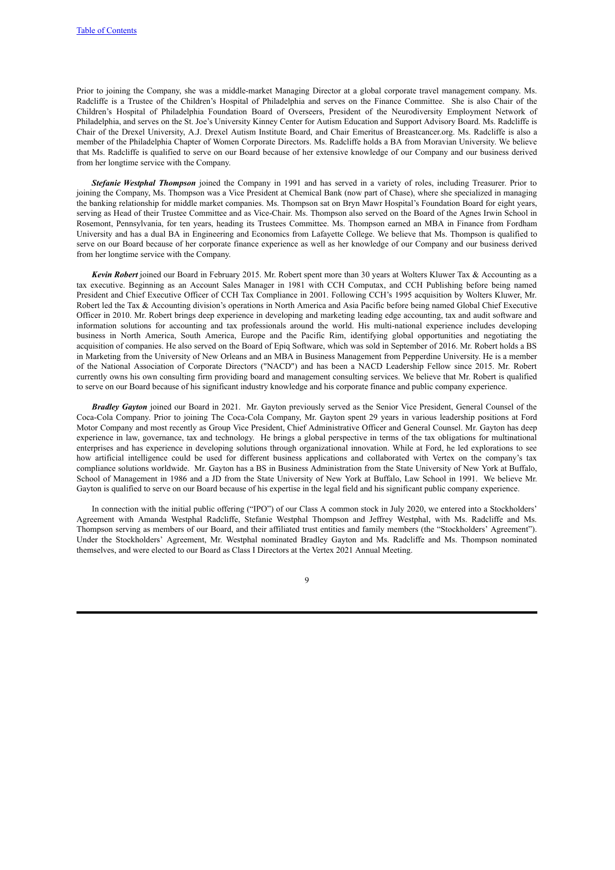Prior to joining the Company, she was a middle-market Managing Director at a global corporate travel management company. Ms. Radcliffe is a Trustee of the Children's Hospital of Philadelphia and serves on the Finance Committee. She is also Chair of the Children's Hospital of Philadelphia Foundation Board of Overseers, President of the Neurodiversity Employment Network of Philadelphia, and serves on the St. Joe's University Kinney Center for Autism Education and Support Advisory Board. Ms. Radcliffe is Chair of the Drexel University, A.J. Drexel Autism Institute Board, and Chair Emeritus of Breastcancer.org. Ms. Radcliffe is also a member of the Philadelphia Chapter of Women Corporate Directors. Ms. Radcliffe holds a BA from Moravian University. We believe that Ms. Radcliffe is qualified to serve on our Board because of her extensive knowledge of our Company and our business derived from her longtime service with the Company.

*Stefanie Westphal Thompson* joined the Company in 1991 and has served in a variety of roles, including Treasurer. Prior to joining the Company, Ms. Thompson was a Vice President at Chemical Bank (now part of Chase), where she specialized in managing the banking relationship for middle market companies. Ms. Thompson sat on Bryn Mawr Hospital's Foundation Board for eight years, serving as Head of their Trustee Committee and as Vice-Chair. Ms. Thompson also served on the Board of the Agnes Irwin School in Rosemont, Pennsylvania, for ten years, heading its Trustees Committee. Ms. Thompson earned an MBA in Finance from Fordham University and has a dual BA in Engineering and Economics from Lafayette College. We believe that Ms. Thompson is qualified to serve on our Board because of her corporate finance experience as well as her knowledge of our Company and our business derived from her longtime service with the Company.

*Kevin Robert* joined our Board in February 2015. Mr. Robert spent more than 30 years at Wolters Kluwer Tax & Accounting as a tax executive. Beginning as an Account Sales Manager in 1981 with CCH Computax, and CCH Publishing before being named President and Chief Executive Officer of CCH Tax Compliance in 2001. Following CCH's 1995 acquisition by Wolters Kluwer, Mr. Robert led the Tax & Accounting division's operations in North America and Asia Pacific before being named Global Chief Executive Officer in 2010. Mr. Robert brings deep experience in developing and marketing leading edge accounting, tax and audit software and information solutions for accounting and tax professionals around the world. His multi-national experience includes developing business in North America, South America, Europe and the Pacific Rim, identifying global opportunities and negotiating the acquisition of companies. He also served on the Board of Epiq Software, which was sold in September of 2016. Mr. Robert holds a BS in Marketing from the University of New Orleans and an MBA in Business Management from Pepperdine University. He is a member of the National Association of Corporate Directors ("NACD") and has been a NACD Leadership Fellow since 2015. Mr. Robert currently owns his own consulting firm providing board and management consulting services. We believe that Mr. Robert is qualified to serve on our Board because of his significant industry knowledge and his corporate finance and public company experience.

*Bradley Gayton* joined our Board in 2021. Mr. Gayton previously served as the Senior Vice President, General Counsel of the Coca-Cola Company. Prior to joining The Coca-Cola Company, Mr. Gayton spent 29 years in various leadership positions at Ford Motor Company and most recently as Group Vice President, Chief Administrative Officer and General Counsel. Mr. Gayton has deep experience in law, governance, tax and technology. He brings a global perspective in terms of the tax obligations for multinational enterprises and has experience in developing solutions through organizational innovation. While at Ford, he led explorations to see how artificial intelligence could be used for different business applications and collaborated with Vertex on the company's tax compliance solutions worldwide. Mr. Gayton has a BS in Business Administration from the State University of New York at Buffalo, School of Management in 1986 and a JD from the State University of New York at Buffalo, Law School in 1991. We believe Mr. Gayton is qualified to serve on our Board because of his expertise in the legal field and his significant public company experience.

In connection with the initial public offering ("IPO") of our Class A common stock in July 2020, we entered into a Stockholders' Agreement with Amanda Westphal Radcliffe, Stefanie Westphal Thompson and Jeffrey Westphal, with Ms. Radcliffe and Ms. Thompson serving as members of our Board, and their affiliated trust entities and family members (the "Stockholders' Agreement"). Under the Stockholders' Agreement, Mr. Westphal nominated Bradley Gayton and Ms. Radcliffe and Ms. Thompson nominated themselves, and were elected to our Board as Class I Directors at the Vertex 2021 Annual Meeting.

 $\overline{Q}$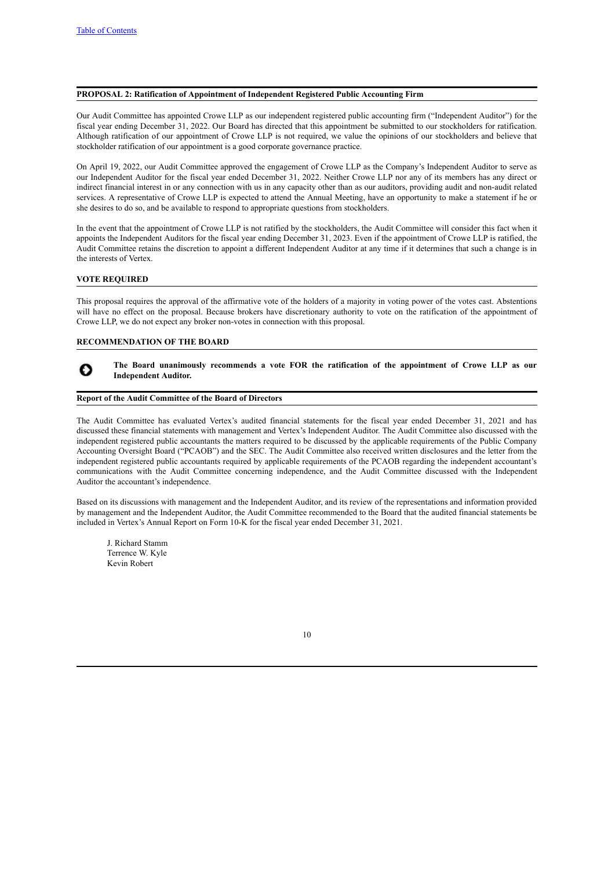#### <span id="page-13-0"></span>**PROPOSAL 2: Ratification of Appointment of Independent Registered Public Accounting Firm**

Our Audit Committee has appointed Crowe LLP as our independent registered public accounting firm ("Independent Auditor") for the fiscal year ending December 31, 2022. Our Board has directed that this appointment be submitted to our stockholders for ratification. Although ratification of our appointment of Crowe LLP is not required, we value the opinions of our stockholders and believe that stockholder ratification of our appointment is a good corporate governance practice.

On April 19, 2022, our Audit Committee approved the engagement of Crowe LLP as the Company's Independent Auditor to serve as our Independent Auditor for the fiscal year ended December 31, 2022. Neither Crowe LLP nor any of its members has any direct or indirect financial interest in or any connection with us in any capacity other than as our auditors, providing audit and non-audit related services. A representative of Crowe LLP is expected to attend the Annual Meeting, have an opportunity to make a statement if he or she desires to do so, and be available to respond to appropriate questions from stockholders.

In the event that the appointment of Crowe LLP is not ratified by the stockholders, the Audit Committee will consider this fact when it appoints the Independent Auditors for the fiscal year ending December 31, 2023. Even if the appointment of Crowe LLP is ratified, the Audit Committee retains the discretion to appoint a different Independent Auditor at any time if it determines that such a change is in the interests of Vertex.

## **VOTE REQUIRED**

Ω

This proposal requires the approval of the affirmative vote of the holders of a majority in voting power of the votes cast. Abstentions will have no effect on the proposal. Because brokers have discretionary authority to vote on the ratification of the appointment of Crowe LLP, we do not expect any broker non-votes in connection with this proposal.

#### **RECOMMENDATION OF THE BOARD**

<span id="page-13-1"></span>**The Board unanimously recommends a vote FOR the ratification of the appointment of Crowe LLP as our Independent Auditor.**

#### **Report of the Audit Committee of the Board of Directors**

The Audit Committee has evaluated Vertex's audited financial statements for the fiscal year ended December 31, 2021 and has discussed these financial statements with management and Vertex's Independent Auditor. The Audit Committee also discussed with the independent registered public accountants the matters required to be discussed by the applicable requirements of the Public Company Accounting Oversight Board ("PCAOB") and the SEC. The Audit Committee also received written disclosures and the letter from the independent registered public accountants required by applicable requirements of the PCAOB regarding the independent accountant's communications with the Audit Committee concerning independence, and the Audit Committee discussed with the Independent Auditor the accountant's independence.

Based on its discussions with management and the Independent Auditor, and its review of the representations and information provided by management and the Independent Auditor, the Audit Committee recommended to the Board that the audited financial statements be included in Vertex's Annual Report on Form 10-K for the fiscal year ended December 31, 2021.

J. Richard Stamm Terrence W. Kyle Kevin Robert

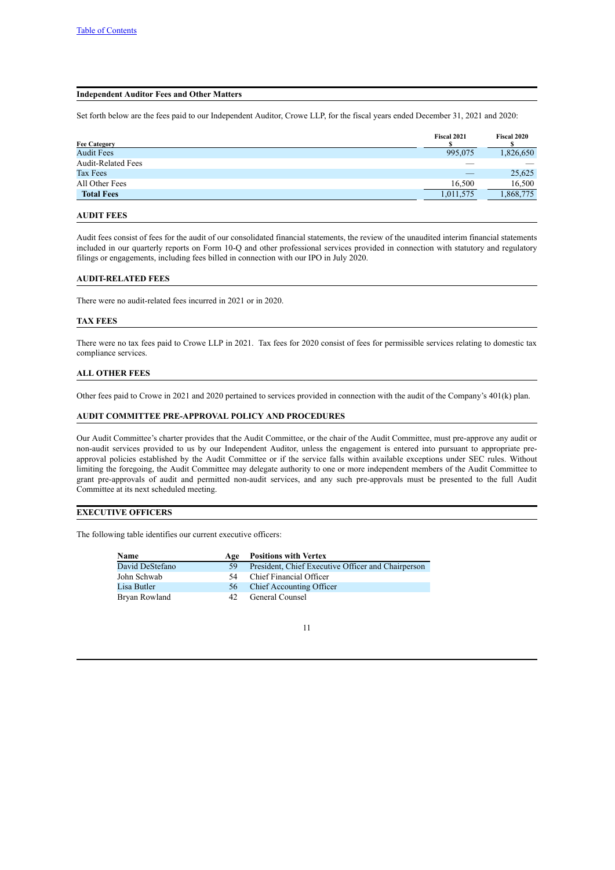#### <span id="page-14-0"></span>**Independent Auditor Fees and Other Matters**

Set forth below are the fees paid to our Independent Auditor, Crowe LLP, for the fiscal years ended December 31, 2021 and 2020:

| <b>Fee Category</b>       | Fiscal 2021 | Fiscal 2020 |
|---------------------------|-------------|-------------|
| <b>Audit Fees</b>         | 995,075     | 1,826,650   |
| <b>Audit-Related Fees</b> |             |             |
| Tax Fees                  |             | 25,625      |
| All Other Fees            | 16.500      | 16,500      |
| <b>Total Fees</b>         | 1,011,575   | 1,868,775   |
|                           |             |             |

## **AUDIT FEES**

Audit fees consist of fees for the audit of our consolidated financial statements, the review of the unaudited interim financial statements included in our quarterly reports on Form 10-Q and other professional services provided in connection with statutory and regulatory filings or engagements, including fees billed in connection with our IPO in July 2020.

## **AUDIT-RELATED FEES**

There were no audit-related fees incurred in 2021 or in 2020.

#### **TAX FEES**

There were no tax fees paid to Crowe LLP in 2021. Tax fees for 2020 consist of fees for permissible services relating to domestic tax compliance services.

#### **ALL OTHER FEES**

Other fees paid to Crowe in 2021 and 2020 pertained to services provided in connection with the audit of the Company's 401(k) plan.

## **AUDIT COMMITTEE PRE-APPROVAL POLICY AND PROCEDURES**

Our Audit Committee's charter provides that the Audit Committee, or the chair of the Audit Committee, must pre-approve any audit or non-audit services provided to us by our Independent Auditor, unless the engagement is entered into pursuant to appropriate preapproval policies established by the Audit Committee or if the service falls within available exceptions under SEC rules. Without limiting the foregoing, the Audit Committee may delegate authority to one or more independent members of the Audit Committee to grant pre-approvals of audit and permitted non-audit services, and any such pre-approvals must be presented to the full Audit Committee at its next scheduled meeting.

## **EXECUTIVE OFFICERS**

The following table identifies our current executive officers:

<span id="page-14-1"></span>

| <b>Name</b>     | Age | <b>Positions with Vertex</b>                       |
|-----------------|-----|----------------------------------------------------|
| David DeStefano | -59 | President, Chief Executive Officer and Chairperson |
| John Schwab     | 54  | Chief Financial Officer                            |
| Lisa Butler     | 56  | Chief Accounting Officer                           |
| Bryan Rowland   | 42. | General Counsel                                    |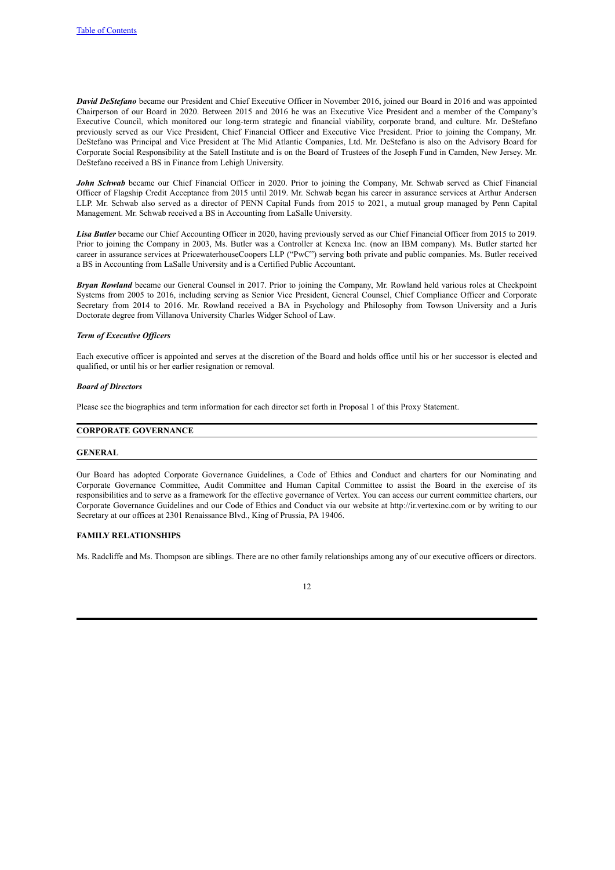*David DeStefano* became our President and Chief Executive Officer in November 2016, joined our Board in 2016 and was appointed Chairperson of our Board in 2020. Between 2015 and 2016 he was an Executive Vice President and a member of the Company's Executive Council, which monitored our long-term strategic and financial viability, corporate brand, and culture. Mr. DeStefano previously served as our Vice President, Chief Financial Officer and Executive Vice President. Prior to joining the Company, Mr. DeStefano was Principal and Vice President at The Mid Atlantic Companies, Ltd. Mr. DeStefano is also on the Advisory Board for Corporate Social Responsibility at the Satell Institute and is on the Board of Trustees of the Joseph Fund in Camden, New Jersey. Mr. DeStefano received a BS in Finance from Lehigh University.

*John Schwab* became our Chief Financial Officer in 2020. Prior to joining the Company, Mr. Schwab served as Chief Financial Officer of Flagship Credit Acceptance from 2015 until 2019. Mr. Schwab began his career in assurance services at Arthur Andersen LLP. Mr. Schwab also served as a director of PENN Capital Funds from 2015 to 2021, a mutual group managed by Penn Capital Management. Mr. Schwab received a BS in Accounting from LaSalle University.

*Lisa Butler* became our Chief Accounting Officer in 2020, having previously served as our Chief Financial Officer from 2015 to 2019. Prior to joining the Company in 2003, Ms. Butler was a Controller at Kenexa Inc. (now an IBM company). Ms. Butler started her career in assurance services at PricewaterhouseCoopers LLP ("PwC") serving both private and public companies. Ms. Butler received a BS in Accounting from LaSalle University and is a Certified Public Accountant.

*Bryan Rowland* became our General Counsel in 2017. Prior to joining the Company, Mr. Rowland held various roles at Checkpoint Systems from 2005 to 2016, including serving as Senior Vice President, General Counsel, Chief Compliance Officer and Corporate Secretary from 2014 to 2016. Mr. Rowland received a BA in Psychology and Philosophy from Towson University and a Juris Doctorate degree from Villanova University Charles Widger School of Law.

#### *Term of Executive Of icers*

Each executive officer is appointed and serves at the discretion of the Board and holds office until his or her successor is elected and qualified, or until his or her earlier resignation or removal.

#### *Board of Directors*

Please see the biographies and term information for each director set forth in Proposal 1 of this Proxy Statement.

## <span id="page-15-0"></span>**CORPORATE GOVERNANCE**

#### <span id="page-15-1"></span>**GENERAL**

Our Board has adopted Corporate Governance Guidelines, a Code of Ethics and Conduct and charters for our Nominating and Corporate Governance Committee, Audit Committee and Human Capital Committee to assist the Board in the exercise of its responsibilities and to serve as a framework for the effective governance of Vertex. You can access our current committee charters, our Corporate Governance Guidelines and our Code of Ethics and Conduct via our website at http://ir.vertexinc.com or by writing to our Secretary at our offices at 2301 Renaissance Blvd., King of Prussia, PA 19406.

## <span id="page-15-2"></span>**FAMILY RELATIONSHIPS**

Ms. Radcliffe and Ms. Thompson are siblings. There are no other family relationships among any of our executive officers or directors.

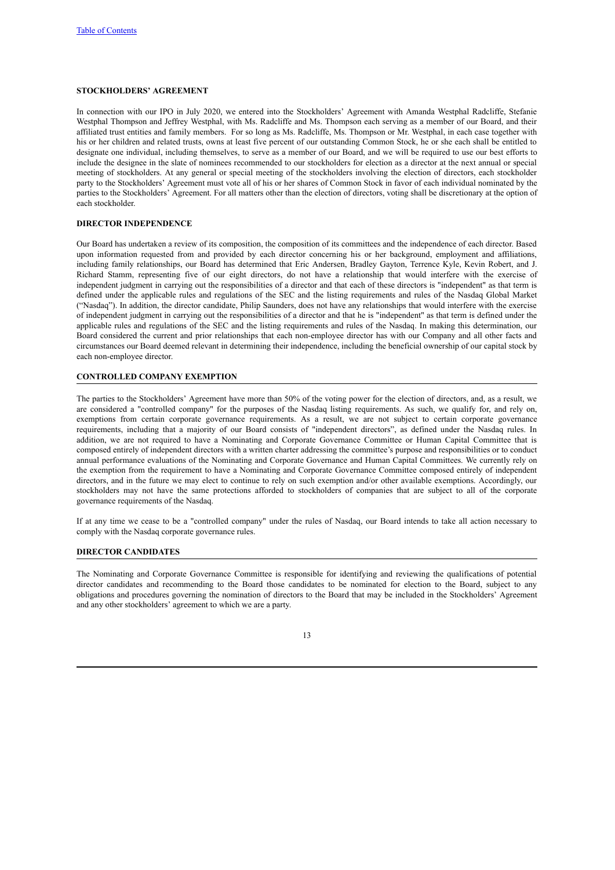## <span id="page-16-0"></span>**STOCKHOLDERS' AGREEMENT**

In connection with our IPO in July 2020, we entered into the Stockholders' Agreement with Amanda Westphal Radcliffe, Stefanie Westphal Thompson and Jeffrey Westphal, with Ms. Radcliffe and Ms. Thompson each serving as a member of our Board, and their affiliated trust entities and family members. For so long as Ms. Radcliffe, Ms. Thompson or Mr. Westphal, in each case together with his or her children and related trusts, owns at least five percent of our outstanding Common Stock, he or she each shall be entitled to designate one individual, including themselves, to serve as a member of our Board, and we will be required to use our best efforts to include the designee in the slate of nominees recommended to our stockholders for election as a director at the next annual or special meeting of stockholders. At any general or special meeting of the stockholders involving the election of directors, each stockholder party to the Stockholders' Agreement must vote all of his or her shares of Common Stock in favor of each individual nominated by the parties to the Stockholders' Agreement. For all matters other than the election of directors, voting shall be discretionary at the option of each stockholder.

## <span id="page-16-1"></span>**DIRECTOR INDEPENDENCE**

Our Board has undertaken a review of its composition, the composition of its committees and the independence of each director. Based upon information requested from and provided by each director concerning his or her background, employment and affiliations, including family relationships, our Board has determined that Eric Andersen, Bradley Gayton, Terrence Kyle, Kevin Robert, and J. Richard Stamm, representing five of our eight directors, do not have a relationship that would interfere with the exercise of independent judgment in carrying out the responsibilities of a director and that each of these directors is "independent" as that term is defined under the applicable rules and regulations of the SEC and the listing requirements and rules of the Nasdaq Global Market ("Nasdaq"). In addition, the director candidate, Philip Saunders, does not have any relationships that would interfere with the exercise of independent judgment in carrying out the responsibilities of a director and that he is "independent" as that term is defined under the applicable rules and regulations of the SEC and the listing requirements and rules of the Nasdaq. In making this determination, our Board considered the current and prior relationships that each non-employee director has with our Company and all other facts and circumstances our Board deemed relevant in determining their independence, including the beneficial ownership of our capital stock by each non-employee director.

#### <span id="page-16-2"></span>**CONTROLLED COMPANY EXEMPTION**

The parties to the Stockholders' Agreement have more than 50% of the voting power for the election of directors, and, as a result, we are considered a "controlled company" for the purposes of the Nasdaq listing requirements. As such, we qualify for, and rely on, exemptions from certain corporate governance requirements. As a result, we are not subject to certain corporate governance requirements, including that a majority of our Board consists of "independent directors", as defined under the Nasdaq rules. In addition, we are not required to have a Nominating and Corporate Governance Committee or Human Capital Committee that is composed entirely of independent directors with a written charter addressing the committee's purpose and responsibilities or to conduct annual performance evaluations of the Nominating and Corporate Governance and Human Capital Committees. We currently rely on the exemption from the requirement to have a Nominating and Corporate Governance Committee composed entirely of independent directors, and in the future we may elect to continue to rely on such exemption and/or other available exemptions. Accordingly, our stockholders may not have the same protections afforded to stockholders of companies that are subject to all of the corporate governance requirements of the Nasdaq.

If at any time we cease to be a "controlled company" under the rules of Nasdaq, our Board intends to take all action necessary to comply with the Nasdaq corporate governance rules.

## <span id="page-16-3"></span>**DIRECTOR CANDIDATES**

The Nominating and Corporate Governance Committee is responsible for identifying and reviewing the qualifications of potential director candidates and recommending to the Board those candidates to be nominated for election to the Board, subject to any obligations and procedures governing the nomination of directors to the Board that may be included in the Stockholders' Agreement and any other stockholders' agreement to which we are a party.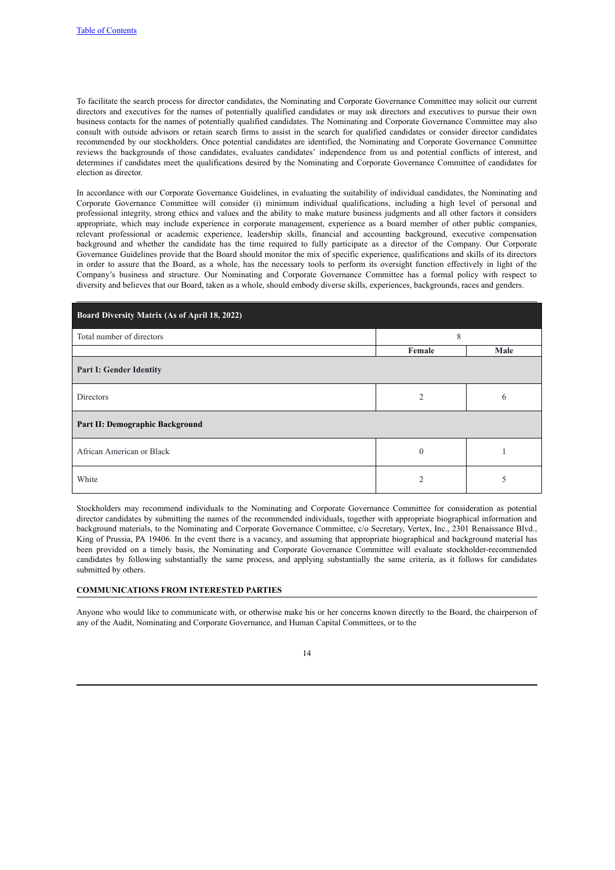To facilitate the search process for director candidates, the Nominating and Corporate Governance Committee may solicit our current directors and executives for the names of potentially qualified candidates or may ask directors and executives to pursue their own business contacts for the names of potentially qualified candidates. The Nominating and Corporate Governance Committee may also consult with outside advisors or retain search firms to assist in the search for qualified candidates or consider director candidates recommended by our stockholders. Once potential candidates are identified, the Nominating and Corporate Governance Committee reviews the backgrounds of those candidates, evaluates candidates' independence from us and potential conflicts of interest, and determines if candidates meet the qualifications desired by the Nominating and Corporate Governance Committee of candidates for election as director.

In accordance with our Corporate Governance Guidelines, in evaluating the suitability of individual candidates, the Nominating and Corporate Governance Committee will consider (i) minimum individual qualifications, including a high level of personal and professional integrity, strong ethics and values and the ability to make mature business judgments and all other factors it considers appropriate, which may include experience in corporate management, experience as a board member of other public companies, relevant professional or academic experience, leadership skills, financial and accounting background, executive compensation background and whether the candidate has the time required to fully participate as a director of the Company. Our Corporate Governance Guidelines provide that the Board should monitor the mix of specific experience, qualifications and skills of its directors in order to assure that the Board, as a whole, has the necessary tools to perform its oversight function effectively in light of the Company's business and structure. Our Nominating and Corporate Governance Committee has a formal policy with respect to diversity and believes that our Board, taken as a whole, should embody diverse skills, experiences, backgrounds, races and genders.

| Board Diversity Matrix (As of April 18, 2022) |                |      |  |  |
|-----------------------------------------------|----------------|------|--|--|
| Total number of directors                     | 8              |      |  |  |
|                                               | Female         | Male |  |  |
| <b>Part I: Gender Identity</b>                |                |      |  |  |
| Directors                                     | $\overline{c}$ | 6    |  |  |
| Part II: Demographic Background               |                |      |  |  |
| African American or Black                     | $\mathbf{0}$   |      |  |  |
| White                                         | $\overline{2}$ |      |  |  |

Stockholders may recommend individuals to the Nominating and Corporate Governance Committee for consideration as potential director candidates by submitting the names of the recommended individuals, together with appropriate biographical information and background materials, to the Nominating and Corporate Governance Committee, c/o Secretary, Vertex, Inc., 2301 Renaissance Blvd., King of Prussia, PA 19406. In the event there is a vacancy, and assuming that appropriate biographical and background material has been provided on a timely basis, the Nominating and Corporate Governance Committee will evaluate stockholder-recommended candidates by following substantially the same process, and applying substantially the same criteria, as it follows for candidates submitted by others.

#### <span id="page-17-0"></span>**COMMUNICATIONS FROM INTERESTED PARTIES**

Anyone who would like to communicate with, or otherwise make his or her concerns known directly to the Board, the chairperson of any of the Audit, Nominating and Corporate Governance, and Human Capital Committees, or to the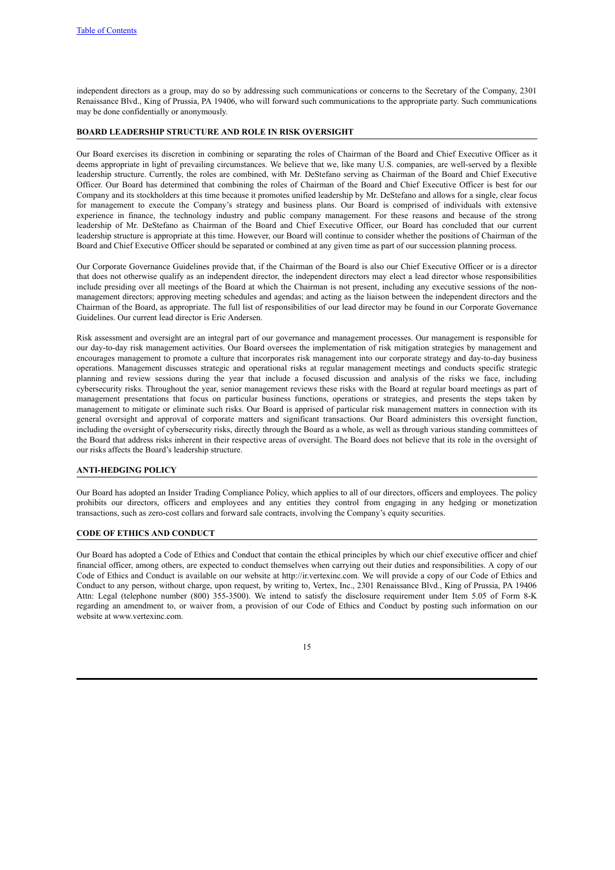independent directors as a group, may do so by addressing such communications or concerns to the Secretary of the Company, 2301 Renaissance Blvd., King of Prussia, PA 19406, who will forward such communications to the appropriate party. Such communications may be done confidentially or anonymously.

## <span id="page-18-0"></span>**BOARD LEADERSHIP STRUCTURE AND ROLE IN RISK OVERSIGHT**

Our Board exercises its discretion in combining or separating the roles of Chairman of the Board and Chief Executive Officer as it deems appropriate in light of prevailing circumstances. We believe that we, like many U.S. companies, are well-served by a flexible leadership structure. Currently, the roles are combined, with Mr. DeStefano serving as Chairman of the Board and Chief Executive Officer. Our Board has determined that combining the roles of Chairman of the Board and Chief Executive Officer is best for our Company and its stockholders at this time because it promotes unified leadership by Mr. DeStefano and allows for a single, clear focus for management to execute the Company's strategy and business plans. Our Board is comprised of individuals with extensive experience in finance, the technology industry and public company management. For these reasons and because of the strong leadership of Mr. DeStefano as Chairman of the Board and Chief Executive Officer, our Board has concluded that our current leadership structure is appropriate at this time. However, our Board will continue to consider whether the positions of Chairman of the Board and Chief Executive Officer should be separated or combined at any given time as part of our succession planning process.

Our Corporate Governance Guidelines provide that, if the Chairman of the Board is also our Chief Executive Officer or is a director that does not otherwise qualify as an independent director, the independent directors may elect a lead director whose responsibilities include presiding over all meetings of the Board at which the Chairman is not present, including any executive sessions of the nonmanagement directors; approving meeting schedules and agendas; and acting as the liaison between the independent directors and the Chairman of the Board, as appropriate. The full list of responsibilities of our lead director may be found in our Corporate Governance Guidelines. Our current lead director is Eric Andersen.

Risk assessment and oversight are an integral part of our governance and management processes. Our management is responsible for our day-to-day risk management activities. Our Board oversees the implementation of risk mitigation strategies by management and encourages management to promote a culture that incorporates risk management into our corporate strategy and day-to-day business operations. Management discusses strategic and operational risks at regular management meetings and conducts specific strategic planning and review sessions during the year that include a focused discussion and analysis of the risks we face, including cybersecurity risks. Throughout the year, senior management reviews these risks with the Board at regular board meetings as part of management presentations that focus on particular business functions, operations or strategies, and presents the steps taken by management to mitigate or eliminate such risks. Our Board is apprised of particular risk management matters in connection with its general oversight and approval of corporate matters and significant transactions. Our Board administers this oversight function, including the oversight of cybersecurity risks, directly through the Board as a whole, as well as through various standing committees of the Board that address risks inherent in their respective areas of oversight. The Board does not believe that its role in the oversight of our risks affects the Board's leadership structure.

## <span id="page-18-1"></span>**ANTI-HEDGING POLICY**

Our Board has adopted an Insider Trading Compliance Policy, which applies to all of our directors, officers and employees. The policy prohibits our directors, officers and employees and any entities they control from engaging in any hedging or monetization transactions, such as zero-cost collars and forward sale contracts, involving the Company's equity securities.

#### <span id="page-18-2"></span>**CODE OF ETHICS AND CONDUCT**

Our Board has adopted a Code of Ethics and Conduct that contain the ethical principles by which our chief executive officer and chief financial officer, among others, are expected to conduct themselves when carrying out their duties and responsibilities. A copy of our Code of Ethics and Conduct is available on our website at http://ir.vertexinc.com. We will provide a copy of our Code of Ethics and Conduct to any person, without charge, upon request, by writing to, Vertex, Inc., 2301 Renaissance Blvd., King of Prussia, PA 19406 Attn: Legal (telephone number (800) 355-3500). We intend to satisfy the disclosure requirement under Item 5.05 of Form 8-K regarding an amendment to, or waiver from, a provision of our Code of Ethics and Conduct by posting such information on our website at www.vertexinc.com.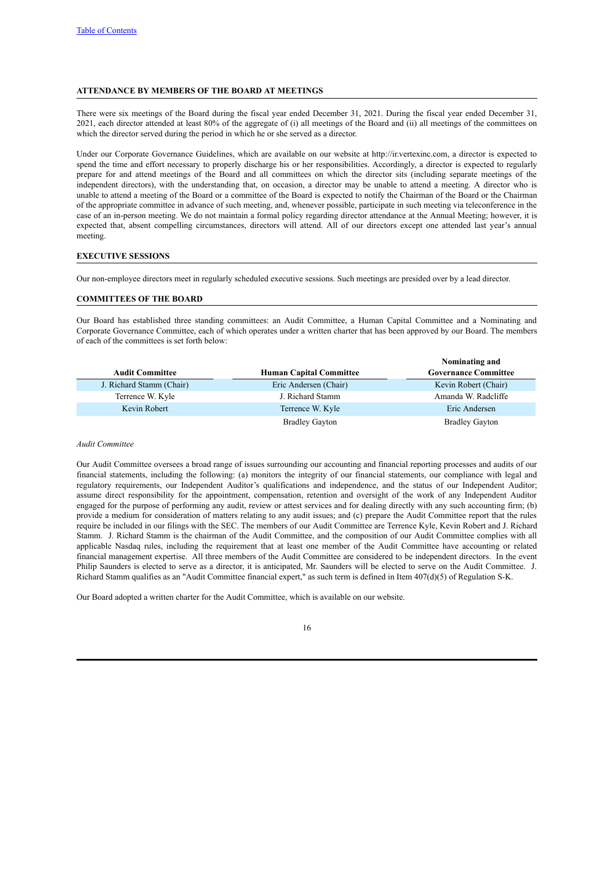## <span id="page-19-0"></span>**ATTENDANCE BY MEMBERS OF THE BOARD AT MEETINGS**

There were six meetings of the Board during the fiscal year ended December 31, 2021. During the fiscal year ended December 31, 2021, each director attended at least 80% of the aggregate of (i) all meetings of the Board and (ii) all meetings of the committees on which the director served during the period in which he or she served as a director.

Under our Corporate Governance Guidelines, which are available on our website at http://ir.vertexinc.com, a director is expected to spend the time and effort necessary to properly discharge his or her responsibilities. Accordingly, a director is expected to regularly prepare for and attend meetings of the Board and all committees on which the director sits (including separate meetings of the independent directors), with the understanding that, on occasion, a director may be unable to attend a meeting. A director who is unable to attend a meeting of the Board or a committee of the Board is expected to notify the Chairman of the Board or the Chairman of the appropriate committee in advance of such meeting, and, whenever possible, participate in such meeting via teleconference in the case of an in-person meeting. We do not maintain a formal policy regarding director attendance at the Annual Meeting; however, it is expected that, absent compelling circumstances, directors will attend. All of our directors except one attended last year's annual meeting.

## <span id="page-19-1"></span>**EXECUTIVE SESSIONS**

Our non-employee directors meet in regularly scheduled executive sessions. Such meetings are presided over by a lead director.

## <span id="page-19-2"></span>**COMMITTEES OF THE BOARD**

Our Board has established three standing committees: an Audit Committee, a Human Capital Committee and a Nominating and Corporate Governance Committee, each of which operates under a written charter that has been approved by our Board. The members of each of the committees is set forth below:

|                          |                                | Nominating and              |
|--------------------------|--------------------------------|-----------------------------|
| <b>Audit Committee</b>   | <b>Human Capital Committee</b> | <b>Governance Committee</b> |
| J. Richard Stamm (Chair) | Eric Andersen (Chair)          | Kevin Robert (Chair)        |
| Terrence W. Kyle         | J. Richard Stamm               | Amanda W. Radcliffe         |
| Kevin Robert             | Terrence W. Kyle               | Eric Andersen               |
|                          | <b>Bradley Gayton</b>          | <b>Bradley Gayton</b>       |

#### <span id="page-19-3"></span>*Audit Committee*

Our Audit Committee oversees a broad range of issues surrounding our accounting and financial reporting processes and audits of our financial statements, including the following: (a) monitors the integrity of our financial statements, our compliance with legal and regulatory requirements, our Independent Auditor's qualifications and independence, and the status of our Independent Auditor; assume direct responsibility for the appointment, compensation, retention and oversight of the work of any Independent Auditor engaged for the purpose of performing any audit, review or attest services and for dealing directly with any such accounting firm; (b) provide a medium for consideration of matters relating to any audit issues; and (c) prepare the Audit Committee report that the rules require be included in our filings with the SEC. The members of our Audit Committee are Terrence Kyle, Kevin Robert and J. Richard Stamm. J. Richard Stamm is the chairman of the Audit Committee, and the composition of our Audit Committee complies with all applicable Nasdaq rules, including the requirement that at least one member of the Audit Committee have accounting or related financial management expertise. All three members of the Audit Committee are considered to be independent directors. In the event Philip Saunders is elected to serve as a director, it is anticipated, Mr. Saunders will be elected to serve on the Audit Committee. J. Richard Stamm qualifies as an "Audit Committee financial expert," as such term is defined in Item 407(d)(5) of Regulation S-K.

Our Board adopted a written charter for the Audit Committee, which is available on our website.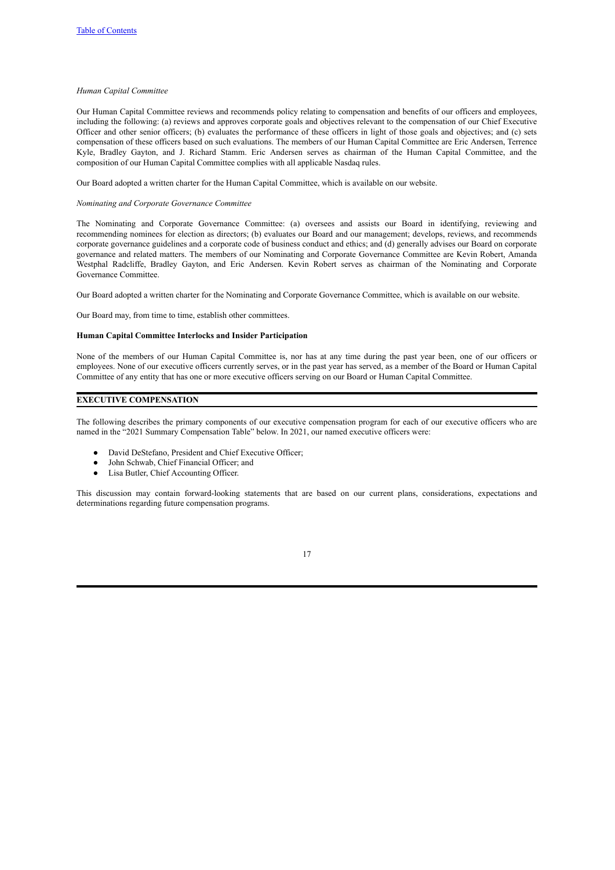#### <span id="page-20-0"></span>*Human Capital Committee*

Our Human Capital Committee reviews and recommends policy relating to compensation and benefits of our officers and employees, including the following: (a) reviews and approves corporate goals and objectives relevant to the compensation of our Chief Executive Officer and other senior officers; (b) evaluates the performance of these officers in light of those goals and objectives; and (c) sets compensation of these officers based on such evaluations. The members of our Human Capital Committee are Eric Andersen, Terrence Kyle, Bradley Gayton, and J. Richard Stamm. Eric Andersen serves as chairman of the Human Capital Committee, and the composition of our Human Capital Committee complies with all applicable Nasdaq rules.

Our Board adopted a written charter for the Human Capital Committee, which is available on our website.

#### <span id="page-20-1"></span>*Nominating and Corporate Governance Committee*

The Nominating and Corporate Governance Committee: (a) oversees and assists our Board in identifying, reviewing and recommending nominees for election as directors; (b) evaluates our Board and our management; develops, reviews, and recommends corporate governance guidelines and a corporate code of business conduct and ethics; and (d) generally advises our Board on corporate governance and related matters. The members of our Nominating and Corporate Governance Committee are Kevin Robert, Amanda Westphal Radcliffe, Bradley Gayton, and Eric Andersen. Kevin Robert serves as chairman of the Nominating and Corporate Governance Committee.

Our Board adopted a written charter for the Nominating and Corporate Governance Committee, which is available on our website.

Our Board may, from time to time, establish other committees.

#### **Human Capital Committee Interlocks and Insider Participation**

None of the members of our Human Capital Committee is, nor has at any time during the past year been, one of our officers or employees. None of our executive officers currently serves, or in the past year has served, as a member of the Board or Human Capital Committee of any entity that has one or more executive officers serving on our Board or Human Capital Committee.

## <span id="page-20-2"></span>**EXECUTIVE COMPENSATION**

The following describes the primary components of our executive compensation program for each of our executive officers who are named in the "2021 Summary Compensation Table" below. In 2021, our named executive officers were:

- David DeStefano, President and Chief Executive Officer;
- John Schwab, Chief Financial Officer; and
- Lisa Butler, Chief Accounting Officer.

This discussion may contain forward-looking statements that are based on our current plans, considerations, expectations and determinations regarding future compensation programs.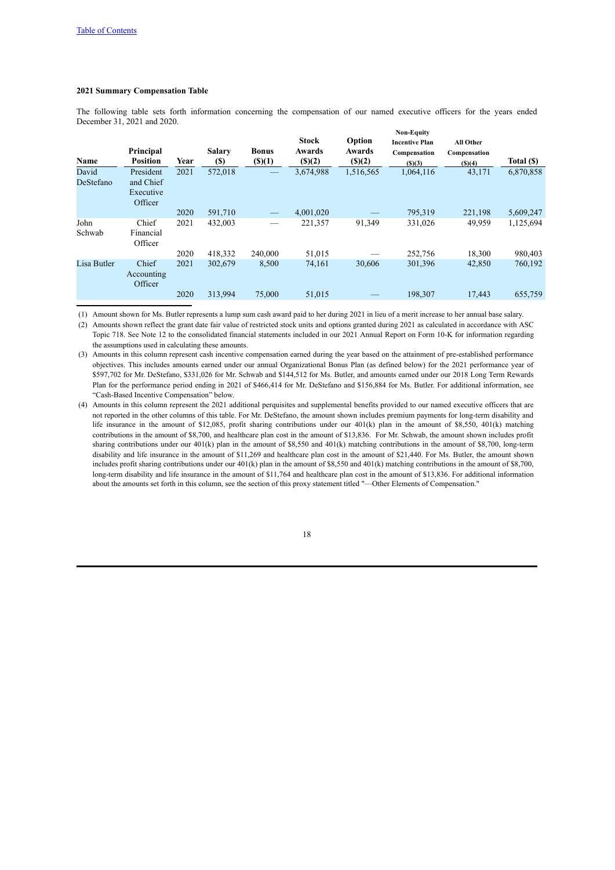## <span id="page-21-0"></span>**2021 Summary Compensation Table**

The following table sets forth information concerning the compensation of our named executive officers for the years ended December 31, 2021 and 2020.

| <b>Name</b>        | Principal<br><b>Position</b>                   | Year | <b>Salary</b><br>(S) | <b>Bonus</b><br>$($ (\$)(1) | <b>Stock</b><br>Awards<br>$($ (\$) $(2)$ | Option<br>Awards<br>$($ (\$) $(2)$ | <b>Non-Equity</b><br><b>Incentive Plan</b><br>Compensation<br>(S)(3) | <b>All Other</b><br>Compensation<br>(S)(4) | Total (\$) |
|--------------------|------------------------------------------------|------|----------------------|-----------------------------|------------------------------------------|------------------------------------|----------------------------------------------------------------------|--------------------------------------------|------------|
| David<br>DeStefano | President<br>and Chief<br>Executive<br>Officer | 2021 | 572,018              |                             | 3,674,988                                | 1,516,565                          | 1,064,116                                                            | 43,171                                     | 6,870,858  |
|                    |                                                | 2020 | 591,710              | $\qquad \qquad - \qquad$    | 4,001,020                                |                                    | 795,319                                                              | 221,198                                    | 5,609,247  |
| John<br>Schwab     | Chief<br>Financial<br>Officer                  | 2021 | 432,003              |                             | 221,357                                  | 91,349                             | 331,026                                                              | 49,959                                     | 1,125,694  |
|                    |                                                | 2020 | 418,332              | 240,000                     | 51,015                                   |                                    | 252,756                                                              | 18,300                                     | 980,403    |
| Lisa Butler        | Chief<br>Accounting<br>Officer                 | 2021 | 302,679              | 8,500                       | 74,161                                   | 30,606                             | 301,396                                                              | 42,850                                     | 760,192    |
|                    |                                                | 2020 | 313,994              | 75,000                      | 51,015                                   |                                    | 198.307                                                              | 17,443                                     | 655,759    |

(1) Amount shown for Ms. Butler represents a lump sum cash award paid to her during 2021 in lieu of a merit increase to her annual base salary.

(2) Amounts shown reflect the grant date fair value of restricted stock units and options granted during 2021 as calculated in accordance with ASC Topic 718. See Note 12 to the consolidated financial statements included in our 2021 Annual Report on Form 10-K for information regarding the assumptions used in calculating these amounts.

(3) Amounts in this column represent cash incentive compensation earned during the year based on the attainment of pre-established performance objectives. This includes amounts earned under our annual Organizational Bonus Plan (as defined below) for the 2021 performance year of \$597,702 for Mr. DeStefano, \$331,026 for Mr. Schwab and \$144,512 for Ms. Butler, and amounts earned under our 2018 Long Term Rewards Plan for the performance period ending in 2021 of \$466,414 for Mr. DeStefano and \$156,884 for Ms. Butler. For additional information, see "Cash-Based Incentive Compensation" below.

(4) Amounts in this column represent the 2021 additional perquisites and supplemental benefits provided to our named executive officers that are not reported in the other columns of this table. For Mr. DeStefano, the amount shown includes premium payments for long-term disability and life insurance in the amount of \$12,085, profit sharing contributions under our 401(k) plan in the amount of \$8,550, 401(k) matching contributions in the amount of \$8,700, and healthcare plan cost in the amount of \$13,836. For Mr. Schwab, the amount shown includes profit sharing contributions under our 401(k) plan in the amount of \$8,550 and 401(k) matching contributions in the amount of \$8,700, long-term disability and life insurance in the amount of \$11,269 and healthcare plan cost in the amount of \$21,440. For Ms. Butler, the amount shown includes profit sharing contributions under our 401(k) plan in the amount of \$8,550 and 401(k) matching contributions in the amount of \$8,700, long-term disability and life insurance in the amount of \$11,764 and healthcare plan cost in the amount of \$13,836. For additional information about the amounts set forth in this column, see the section of this proxy statement titled "—Other Elements of Compensation."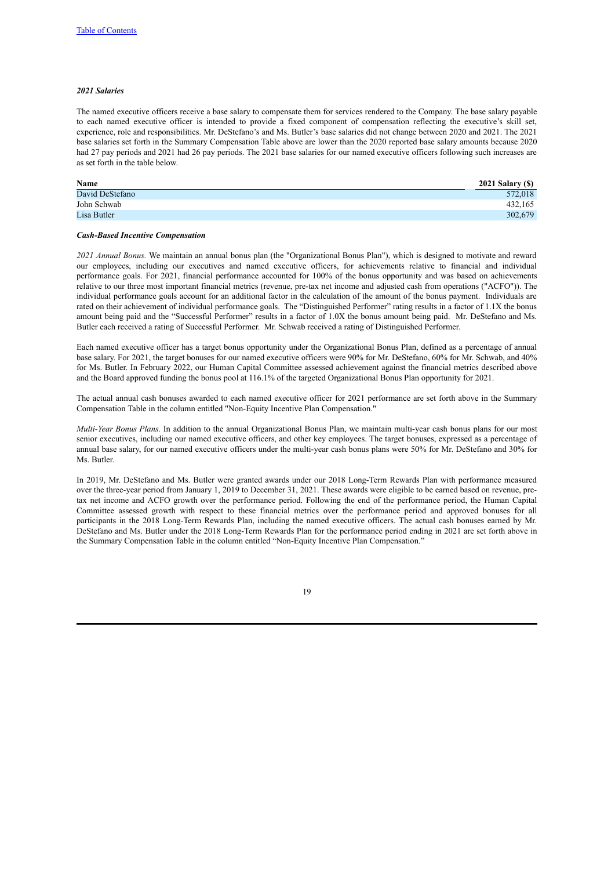#### *2021 Salaries*

The named executive officers receive a base salary to compensate them for services rendered to the Company. The base salary payable to each named executive officer is intended to provide a fixed component of compensation reflecting the executive's skill set, experience, role and responsibilities. Mr. DeStefano's and Ms. Butler's base salaries did not change between 2020 and 2021. The 2021 base salaries set forth in the Summary Compensation Table above are lower than the 2020 reported base salary amounts because 2020 had 27 pay periods and 2021 had 26 pay periods. The 2021 base salaries for our named executive officers following such increases are as set forth in the table below.

| Name            | 2021 Salary (\$) |
|-----------------|------------------|
| David DeStefano | 572.018          |
| John Schwab     | 432.165          |
| Lisa Butler     | 302,679          |

#### *Cash-Based Incentive Compensation*

*2021 Annual Bonus.* We maintain an annual bonus plan (the "Organizational Bonus Plan"), which is designed to motivate and reward our employees, including our executives and named executive officers, for achievements relative to financial and individual performance goals. For 2021, financial performance accounted for 100% of the bonus opportunity and was based on achievements relative to our three most important financial metrics (revenue, pre-tax net income and adjusted cash from operations ("ACFO")). The individual performance goals account for an additional factor in the calculation of the amount of the bonus payment. Individuals are rated on their achievement of individual performance goals. The "Distinguished Performer" rating results in a factor of 1.1X the bonus amount being paid and the "Successful Performer" results in a factor of 1.0X the bonus amount being paid. Mr. DeStefano and Ms. Butler each received a rating of Successful Performer. Mr. Schwab received a rating of Distinguished Performer.

Each named executive officer has a target bonus opportunity under the Organizational Bonus Plan, defined as a percentage of annual base salary. For 2021, the target bonuses for our named executive officers were 90% for Mr. DeStefano, 60% for Mr. Schwab, and 40% for Ms. Butler. In February 2022, our Human Capital Committee assessed achievement against the financial metrics described above and the Board approved funding the bonus pool at 116.1% of the targeted Organizational Bonus Plan opportunity for 2021.

The actual annual cash bonuses awarded to each named executive officer for 2021 performance are set forth above in the Summary Compensation Table in the column entitled "Non-Equity Incentive Plan Compensation."

*Multi-Year Bonus Plans.* In addition to the annual Organizational Bonus Plan, we maintain multi-year cash bonus plans for our most senior executives, including our named executive officers, and other key employees. The target bonuses, expressed as a percentage of annual base salary, for our named executive officers under the multi-year cash bonus plans were 50% for Mr. DeStefano and 30% for Ms. Butler.

In 2019, Mr. DeStefano and Ms. Butler were granted awards under our 2018 Long-Term Rewards Plan with performance measured over the three-year period from January 1, 2019 to December 31, 2021. These awards were eligible to be earned based on revenue, pretax net income and ACFO growth over the performance period. Following the end of the performance period, the Human Capital Committee assessed growth with respect to these financial metrics over the performance period and approved bonuses for all participants in the 2018 Long-Term Rewards Plan, including the named executive officers. The actual cash bonuses earned by Mr. DeStefano and Ms. Butler under the 2018 Long-Term Rewards Plan for the performance period ending in 2021 are set forth above in the Summary Compensation Table in the column entitled "Non-Equity Incentive Plan Compensation."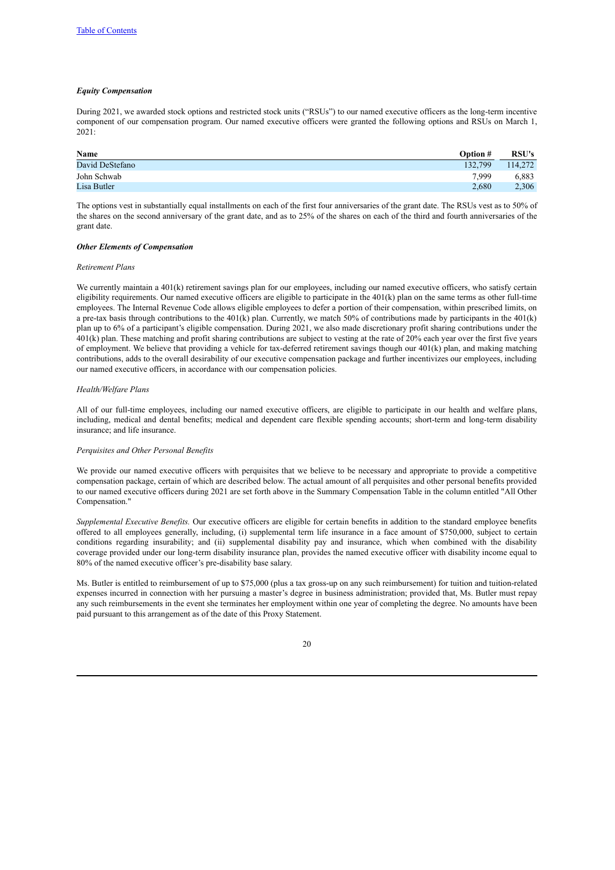#### *Equity Compensation*

During 2021, we awarded stock options and restricted stock units ("RSUs") to our named executive officers as the long-term incentive component of our compensation program. Our named executive officers were granted the following options and RSUs on March 1, 2021:

| Name            | <b>Option</b> # | <b>RSU's</b> |
|-----------------|-----------------|--------------|
| David DeStefano | 132.799         | 114,272      |
| John Schwab     | 7.999           | 6,883        |
| Lisa Butler     | 2.680           | 2,306        |

The options vest in substantially equal installments on each of the first four anniversaries of the grant date. The RSUs vest as to 50% of the shares on the second anniversary of the grant date, and as to 25% of the shares on each of the third and fourth anniversaries of the grant date.

#### *Other Elements of Compensation*

#### *Retirement Plans*

We currently maintain a 401(k) retirement savings plan for our employees, including our named executive officers, who satisfy certain eligibility requirements. Our named executive officers are eligible to participate in the 401(k) plan on the same terms as other full-time employees. The Internal Revenue Code allows eligible employees to defer a portion of their compensation, within prescribed limits, on a pre-tax basis through contributions to the  $401(k)$  plan. Currently, we match 50% of contributions made by participants in the  $401(k)$ plan up to 6% of a participant's eligible compensation. During 2021, we also made discretionary profit sharing contributions under the 401(k) plan. These matching and profit sharing contributions are subject to vesting at the rate of 20% each year over the first five years of employment. We believe that providing a vehicle for tax-deferred retirement savings though our 401(k) plan, and making matching contributions, adds to the overall desirability of our executive compensation package and further incentivizes our employees, including our named executive officers, in accordance with our compensation policies.

## *Health/Welfare Plans*

All of our full-time employees, including our named executive officers, are eligible to participate in our health and welfare plans, including, medical and dental benefits; medical and dependent care flexible spending accounts; short-term and long-term disability insurance; and life insurance.

#### *Perquisites and Other Personal Benefits*

We provide our named executive officers with perquisites that we believe to be necessary and appropriate to provide a competitive compensation package, certain of which are described below. The actual amount of all perquisites and other personal benefits provided to our named executive officers during 2021 are set forth above in the Summary Compensation Table in the column entitled "All Other Compensation."

*Supplemental Executive Benefits.* Our executive officers are eligible for certain benefits in addition to the standard employee benefits offered to all employees generally, including, (i) supplemental term life insurance in a face amount of \$750,000, subject to certain conditions regarding insurability; and (ii) supplemental disability pay and insurance, which when combined with the disability coverage provided under our long-term disability insurance plan, provides the named executive officer with disability income equal to 80% of the named executive officer's pre-disability base salary.

Ms. Butler is entitled to reimbursement of up to \$75,000 (plus a tax gross-up on any such reimbursement) for tuition and tuition-related expenses incurred in connection with her pursuing a master's degree in business administration; provided that, Ms. Butler must repay any such reimbursements in the event she terminates her employment within one year of completing the degree. No amounts have been paid pursuant to this arrangement as of the date of this Proxy Statement.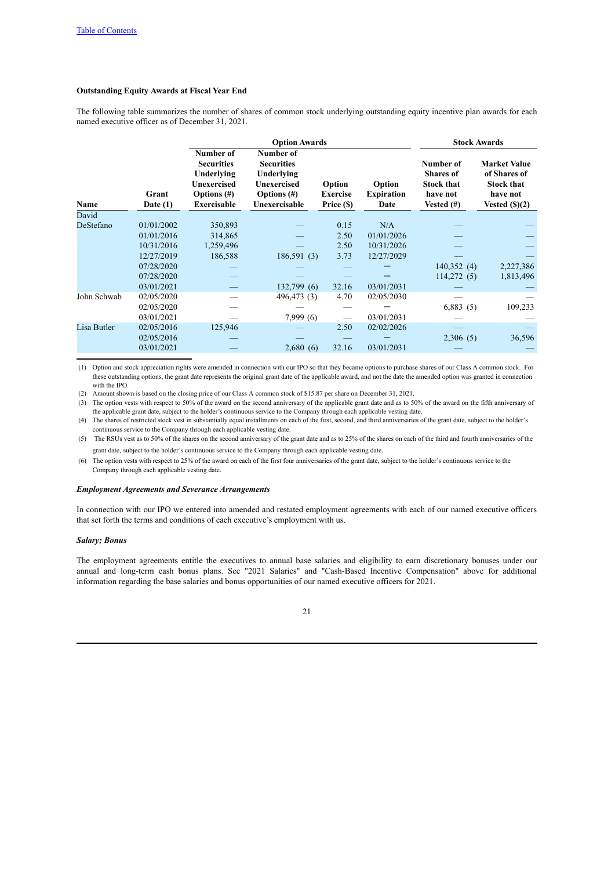## <span id="page-24-0"></span>**Outstanding Equity Awards at Fiscal Year End**

The following table summarizes the number of shares of common stock underlying outstanding equity incentive plan awards for each named executive officer as of December 31, 2021.

|             |                     |                                                                                                            | <b>Option Awards</b>                                                                                  |                                         |                                     | <b>Stock Awards</b>                                                             |                                                                                          |
|-------------|---------------------|------------------------------------------------------------------------------------------------------------|-------------------------------------------------------------------------------------------------------|-----------------------------------------|-------------------------------------|---------------------------------------------------------------------------------|------------------------------------------------------------------------------------------|
| Name        | Grant<br>Date $(1)$ | Number of<br><b>Securities</b><br>Underlying<br><b>Unexercised</b><br>Options $(\#)$<br><b>Exercisable</b> | Number of<br><b>Securities</b><br>Underlying<br><b>Unexercised</b><br>Options $(\#)$<br>Unexercisable | Option<br><b>Exercise</b><br>Price (\$) | Option<br><b>Expiration</b><br>Date | Number of<br><b>Shares of</b><br><b>Stock that</b><br>have not<br>Vested $(\#)$ | <b>Market Value</b><br>of Shares of<br><b>Stock that</b><br>have not<br>Vested $(\$)(2)$ |
| David       |                     |                                                                                                            |                                                                                                       |                                         |                                     |                                                                                 |                                                                                          |
| DeStefano   | 01/01/2002          | 350,893                                                                                                    |                                                                                                       | 0.15                                    | N/A                                 |                                                                                 |                                                                                          |
|             | 01/01/2016          | 314,865                                                                                                    |                                                                                                       | 2.50                                    | 01/01/2026                          |                                                                                 |                                                                                          |
|             | 10/31/2016          | 1,259,496                                                                                                  |                                                                                                       | 2.50                                    | 10/31/2026                          |                                                                                 |                                                                                          |
|             | 12/27/2019          | 186,588                                                                                                    | 186,591(3)                                                                                            | 3.73                                    | 12/27/2029                          |                                                                                 |                                                                                          |
|             | 07/28/2020          |                                                                                                            |                                                                                                       |                                         |                                     | 140,352(4)                                                                      | 2,227,386                                                                                |
|             | 07/28/2020          |                                                                                                            |                                                                                                       |                                         |                                     | 114,272(5)                                                                      | 1,813,496                                                                                |
|             | 03/01/2021          |                                                                                                            | 132,799(6)                                                                                            | 32.16                                   | 03/01/2031                          |                                                                                 |                                                                                          |
| John Schwab | 02/05/2020          |                                                                                                            | 496,473 (3)                                                                                           | 4.70                                    | 02/05/2030                          |                                                                                 |                                                                                          |
|             | 02/05/2020          |                                                                                                            |                                                                                                       |                                         |                                     | 6,883(5)                                                                        | 109,233                                                                                  |
|             | 03/01/2021          |                                                                                                            | 7,999(6)                                                                                              |                                         | 03/01/2031                          |                                                                                 |                                                                                          |
| Lisa Butler | 02/05/2016          | 125,946                                                                                                    |                                                                                                       | 2.50                                    | 02/02/2026                          |                                                                                 |                                                                                          |
|             | 02/05/2016          |                                                                                                            |                                                                                                       |                                         |                                     | 2,306(5)                                                                        | 36,596                                                                                   |
|             | 03/01/2021          |                                                                                                            | 2,680(6)                                                                                              | 32.16                                   | 03/01/2031                          |                                                                                 |                                                                                          |
|             |                     |                                                                                                            |                                                                                                       |                                         |                                     |                                                                                 |                                                                                          |

(1) Option and stock appreciation rights were amended in connection with our IPO so that they became options to purchase shares of our Class A common stock. For these outstanding options, the grant date represents the original grant date of the applicable award, and not the date the amended option was granted in connection with the IPO.

(2) Amount shown is based on the closing price of our Class A common stock of \$15.87 per share on December 31, 2021.

(3) The option vests with respect to 50% of the award on the second anniversary of the applicable grant date and as to 50% of the award on the fifth anniversary of the applicable grant date, subject to the holder's continuous service to the Company through each applicable vesting date.

(4) The shares of restricted stock vest in substantially equal installments on each of the first, second, and third anniversaries of the grant date, subject to the holder's continuous service to the Company through each applicable vesting date.

(5) The RSUs vest as to 50% of the shares on the second anniversary of the grant date and as to 25% of the shares on each of the third and fourth anniversaries of the grant date, subject to the holder's continuous service to the Company through each applicable vesting date.

(6) The option vests with respect to 25% of the award on each of the first four anniversaries of the grant date, subject to the holder's continuous service to the Company through each applicable vesting date.

#### *Employment Agreements and Severance Arrangements*

In connection with our IPO we entered into amended and restated employment agreements with each of our named executive officers that set forth the terms and conditions of each executive's employment with us.

## *Salary; Bonus*

The employment agreements entitle the executives to annual base salaries and eligibility to earn discretionary bonuses under our annual and long-term cash bonus plans. See "2021 Salaries" and "Cash-Based Incentive Compensation" above for additional information regarding the base salaries and bonus opportunities of our named executive officers for 2021.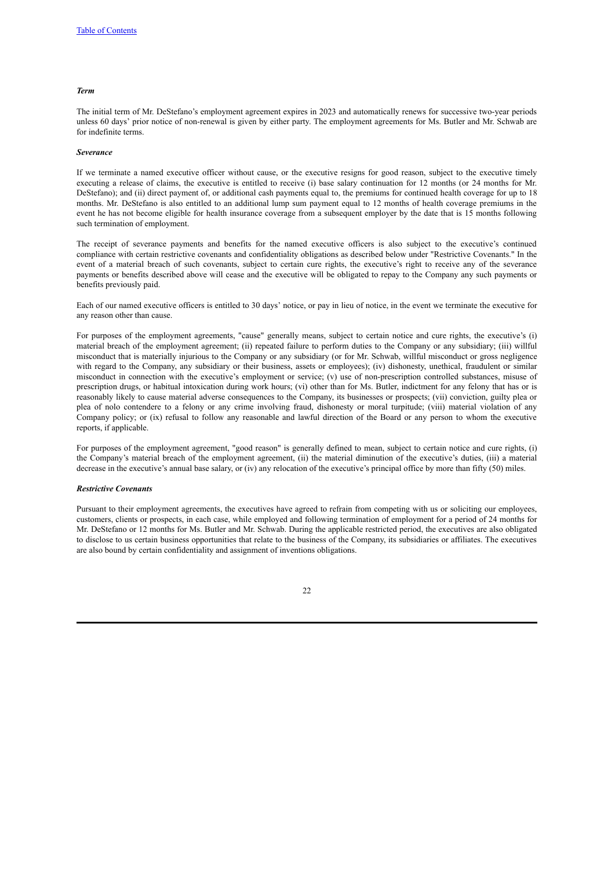## *Term*

The initial term of Mr. DeStefano's employment agreement expires in 2023 and automatically renews for successive two-year periods unless 60 days' prior notice of non-renewal is given by either party. The employment agreements for Ms. Butler and Mr. Schwab are for indefinite terms.

#### *Severance*

If we terminate a named executive officer without cause, or the executive resigns for good reason, subject to the executive timely executing a release of claims, the executive is entitled to receive (i) base salary continuation for 12 months (or 24 months for Mr. DeStefano); and (ii) direct payment of, or additional cash payments equal to, the premiums for continued health coverage for up to 18 months. Mr. DeStefano is also entitled to an additional lump sum payment equal to 12 months of health coverage premiums in the event he has not become eligible for health insurance coverage from a subsequent employer by the date that is 15 months following such termination of employment.

The receipt of severance payments and benefits for the named executive officers is also subject to the executive's continued compliance with certain restrictive covenants and confidentiality obligations as described below under "Restrictive Covenants." In the event of a material breach of such covenants, subject to certain cure rights, the executive's right to receive any of the severance payments or benefits described above will cease and the executive will be obligated to repay to the Company any such payments or benefits previously paid.

Each of our named executive officers is entitled to 30 days' notice, or pay in lieu of notice, in the event we terminate the executive for any reason other than cause.

For purposes of the employment agreements, "cause" generally means, subject to certain notice and cure rights, the executive's (i) material breach of the employment agreement; (ii) repeated failure to perform duties to the Company or any subsidiary; (iii) willful misconduct that is materially injurious to the Company or any subsidiary (or for Mr. Schwab, willful misconduct or gross negligence with regard to the Company, any subsidiary or their business, assets or employees); (iv) dishonesty, unethical, fraudulent or similar misconduct in connection with the executive's employment or service; (v) use of non-prescription controlled substances, misuse of prescription drugs, or habitual intoxication during work hours; (vi) other than for Ms. Butler, indictment for any felony that has or is reasonably likely to cause material adverse consequences to the Company, its businesses or prospects; (vii) conviction, guilty plea or plea of nolo contendere to a felony or any crime involving fraud, dishonesty or moral turpitude; (viii) material violation of any Company policy; or (ix) refusal to follow any reasonable and lawful direction of the Board or any person to whom the executive reports, if applicable.

For purposes of the employment agreement, "good reason" is generally defined to mean, subject to certain notice and cure rights, (i) the Company's material breach of the employment agreement, (ii) the material diminution of the executive's duties, (iii) a material decrease in the executive's annual base salary, or (iv) any relocation of the executive's principal office by more than fifty (50) miles.

#### *Restrictive Covenants*

Pursuant to their employment agreements, the executives have agreed to refrain from competing with us or soliciting our employees, customers, clients or prospects, in each case, while employed and following termination of employment for a period of 24 months for Mr. DeStefano or 12 months for Ms. Butler and Mr. Schwab. During the applicable restricted period, the executives are also obligated to disclose to us certain business opportunities that relate to the business of the Company, its subsidiaries or affiliates. The executives are also bound by certain confidentiality and assignment of inventions obligations.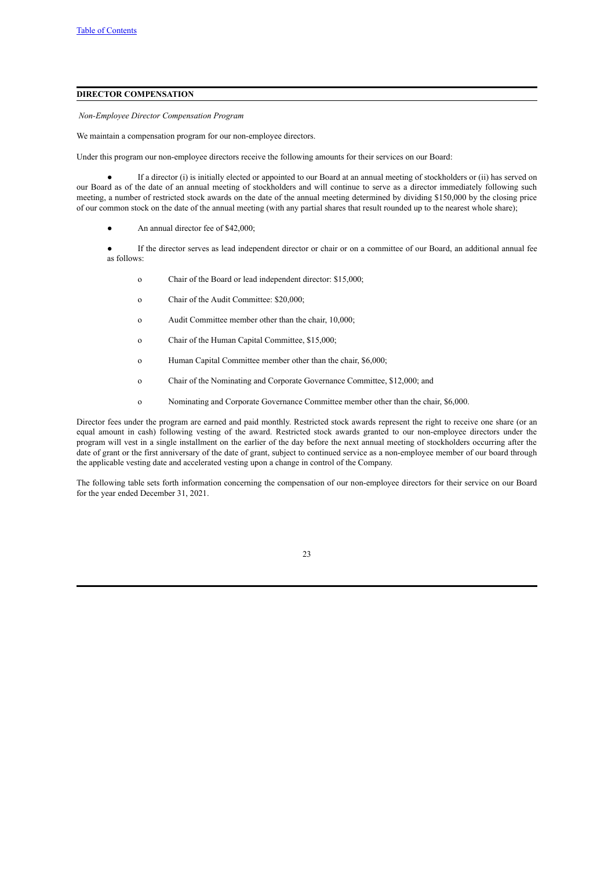## <span id="page-26-0"></span>**DIRECTOR COMPENSATION**

<span id="page-26-1"></span>*Non-Employee Director Compensation Program*

We maintain a compensation program for our non-employee directors.

Under this program our non-employee directors receive the following amounts for their services on our Board:

If a director (i) is initially elected or appointed to our Board at an annual meeting of stockholders or (ii) has served on our Board as of the date of an annual meeting of stockholders and will continue to serve as a director immediately following such meeting, a number of restricted stock awards on the date of the annual meeting determined by dividing \$150,000 by the closing price of our common stock on the date of the annual meeting (with any partial shares that result rounded up to the nearest whole share);

- An annual director fee of \$42,000;
- If the director serves as lead independent director or chair or on a committee of our Board, an additional annual fee as follows:
	- o Chair of the Board or lead independent director: \$15,000;
	- o Chair of the Audit Committee: \$20,000;
	- o Audit Committee member other than the chair, 10,000;
	- o Chair of the Human Capital Committee, \$15,000;
	- o Human Capital Committee member other than the chair, \$6,000;
	- o Chair of the Nominating and Corporate Governance Committee, \$12,000; and
	- o Nominating and Corporate Governance Committee member other than the chair, \$6,000.

Director fees under the program are earned and paid monthly. Restricted stock awards represent the right to receive one share (or an equal amount in cash) following vesting of the award. Restricted stock awards granted to our non-employee directors under the program will vest in a single installment on the earlier of the day before the next annual meeting of stockholders occurring after the date of grant or the first anniversary of the date of grant, subject to continued service as a non-employee member of our board through the applicable vesting date and accelerated vesting upon a change in control of the Company.

The following table sets forth information concerning the compensation of our non-employee directors for their service on our Board for the year ended December 31, 2021.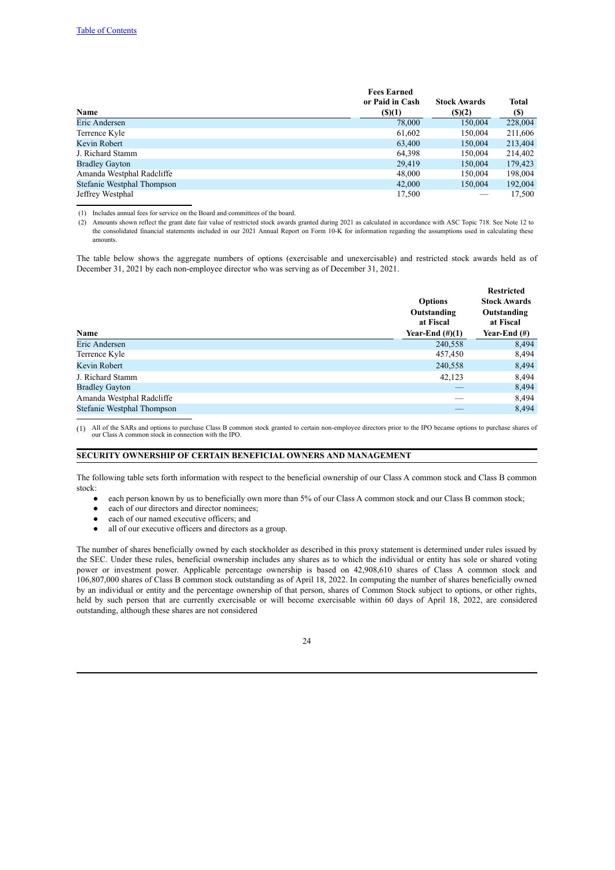|                            | <b>Fees Earned</b> |                     |         |
|----------------------------|--------------------|---------------------|---------|
|                            | or Paid in Cash    | <b>Stock Awards</b> | Total   |
| Name                       | $($ (\$)(1)        | $($ (\$)(2)         | (S)     |
| Eric Andersen              | 78,000             | 150,004             | 228,004 |
| Terrence Kyle              | 61,602             | 150,004             | 211,606 |
| Kevin Robert               | 63,400             | 150,004             | 213,404 |
| J. Richard Stamm           | 64,398             | 150.004             | 214,402 |
| <b>Bradley Gayton</b>      | 29.419             | 150,004             | 179,423 |
| Amanda Westphal Radcliffe  | 48,000             | 150,004             | 198,004 |
| Stefanie Westphal Thompson | 42,000             | 150,004             | 192,004 |
| Jeffrey Westphal           | 17,500             |                     | 17,500  |

(1) Includes annual fees for service on the Board and committees of the board.

(2) Amounts shown reflect the grant date fair value of restricted stock awards granted during 2021 as calculated in accordance with ASC Topic 718. See Note 12 to the consolidated financial statements included in our 2021 Annual Report on Form 10-K for information regarding the assumptions used in calculating these amounts.

The table below shows the aggregate numbers of options (exercisable and unexercisable) and restricted stock awards held as of December 31, 2021 by each non-employee director who was serving as of December 31, 2021.

| Name                       | <b>Options</b><br>Outstanding<br>at Fiscal<br>Year-End $(\#)(1)$ | <b>Restricted</b><br><b>Stock Awards</b><br>Outstanding<br>at Fiscal<br>Year-End $(\#)$ |
|----------------------------|------------------------------------------------------------------|-----------------------------------------------------------------------------------------|
| Eric Andersen              | 240,558                                                          | 8,494                                                                                   |
| Terrence Kyle              | 457,450                                                          | 8,494                                                                                   |
| Kevin Robert               | 240,558                                                          | 8,494                                                                                   |
| J. Richard Stamm           | 42,123                                                           | 8,494                                                                                   |
| <b>Bradley Gayton</b>      |                                                                  | 8,494                                                                                   |
| Amanda Westphal Radcliffe  |                                                                  | 8,494                                                                                   |
| Stefanie Westphal Thompson |                                                                  | 8,494                                                                                   |
|                            |                                                                  |                                                                                         |

(1) All of the SARs and options to purchase Class B common stock granted to certain non-employee directors prior to the IPO became options to purchase shares of our Class A common stock in connection with the IPO.

## **SECURITY OWNERSHIP OF CERTAIN BENEFICIAL OWNERS AND MANAGEMENT**

The following table sets forth information with respect to the beneficial ownership of our Class A common stock and Class B common stock:

- <span id="page-27-0"></span>each person known by us to beneficially own more than 5% of our Class A common stock and our Class B common stock;
- each of our directors and director nominees;
- each of our named executive officers; and
- all of our executive officers and directors as a group.

The number of shares beneficially owned by each stockholder as described in this proxy statement is determined under rules issued by the SEC. Under these rules, beneficial ownership includes any shares as to which the individual or entity has sole or shared voting power or investment power. Applicable percentage ownership is based on 42,908,610 shares of Class A common stock and 106,807,000 shares of Class B common stock outstanding as of April 18, 2022. In computing the number of shares beneficially owned by an individual or entity and the percentage ownership of that person, shares of Common Stock subject to options, or other rights, held by such person that are currently exercisable or will become exercisable within 60 days of April 18, 2022, are considered outstanding, although these shares are not considered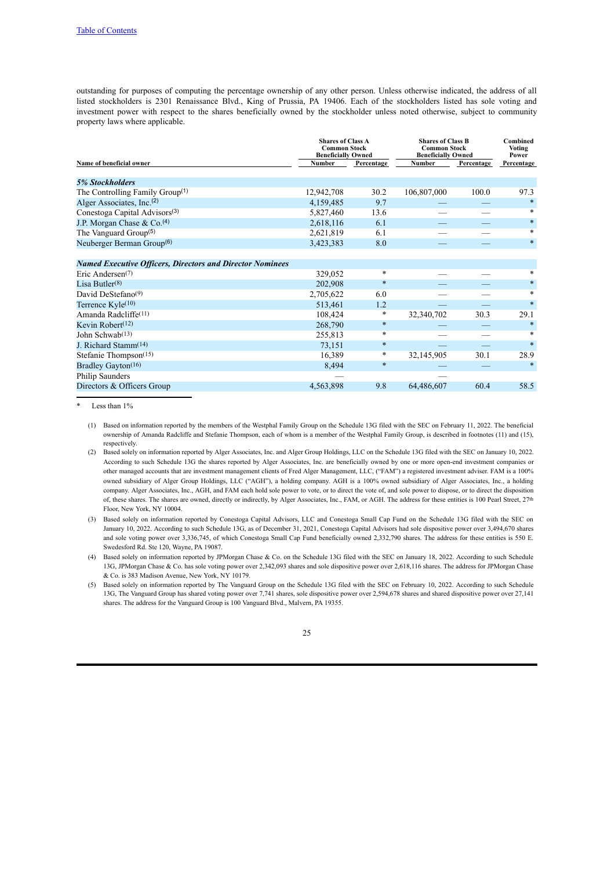outstanding for purposes of computing the percentage ownership of any other person. Unless otherwise indicated, the address of all listed stockholders is 2301 Renaissance Blvd., King of Prussia, PA 19406. Each of the stockholders listed has sole voting and investment power with respect to the shares beneficially owned by the stockholder unless noted otherwise, subject to community property laws where applicable.

|               | <b>Shares of Class A</b> | <b>Shares of Class B</b>                                 |             | Combined<br><b>Voting</b><br>Power               |
|---------------|--------------------------|----------------------------------------------------------|-------------|--------------------------------------------------|
| <b>Number</b> | Percentage               | <b>Number</b>                                            | Percentage  | Percentage                                       |
|               |                          |                                                          |             |                                                  |
|               |                          |                                                          | 100.0       | 97.3                                             |
| 4,159,485     | 9.7                      |                                                          |             | $\star$                                          |
| 5,827,460     | 13.6                     |                                                          |             | *                                                |
| 2,618,116     | 6.1                      |                                                          |             | $\ast$                                           |
| 2,621,819     | 6.1                      |                                                          |             | $\ast$                                           |
| 3,423,383     | 8.0                      |                                                          |             | $\ast$                                           |
|               |                          |                                                          |             |                                                  |
| 329,052       | $\ast$                   |                                                          |             | *                                                |
| 202,908       | $\ast$                   |                                                          |             | $\ast$                                           |
| 2,705,622     | 6.0                      |                                                          |             | $\ast$                                           |
| 513,461       | 1.2                      |                                                          |             | $\ast$                                           |
| 108,424       | $\ast$                   | 32,340,702                                               | 30.3        | 29.1                                             |
| 268,790       | $\ast$                   |                                                          |             | $\ast$                                           |
| 255,813       | $\ast$                   |                                                          |             | $\ast$                                           |
| 73,151        | $\ast$                   |                                                          |             | $\star$                                          |
| 16,389        | $\ast$                   | 32,145,905                                               | 30.1        | 28.9                                             |
| 8,494         | $\ast$                   |                                                          |             | $\star$                                          |
|               |                          |                                                          |             |                                                  |
| 4,563,898     | 9.8                      | 64,486,607                                               | 60.4        | 58.5                                             |
|               | 12,942,708               | <b>Common Stock</b><br><b>Beneficially Owned</b><br>30.2 | 106,807,000 | <b>Common Stock</b><br><b>Beneficially Owned</b> |

Less than  $1\%$ 

(1) Based on information reported by the members of the Westphal Family Group on the Schedule 13G filed with the SEC on February 11, 2022. The beneficial ownership of Amanda Radcliffe and Stefanie Thompson, each of whom is a member of the Westphal Family Group, is described in footnotes (11) and (15), respectively.

(2) Based solely on information reported by Alger Associates, Inc. and Alger Group Holdings, LLC on the Schedule 13G filed with the SEC on January 10, 2022. According to such Schedule 13G the shares reported by Alger Associates, Inc. are beneficially owned by one or more open-end investment companies or other managed accounts that are investment management clients of Fred Alger Management, LLC, ("FAM") a registered investment adviser. FAM is a 100% owned subsidiary of Alger Group Holdings, LLC ("AGH"), a holding company. AGH is a 100% owned subsidiary of Alger Associates, Inc., a holding company. Alger Associates, Inc., AGH, and FAM each hold sole power to vote, or to direct the vote of, and sole power to dispose, or to direct the disposition of, these shares. The shares are owned, directly or indirectly, by Alger Associates, Inc., FAM, or AGH. The address for these entities is 100 Pearl Street, 27th Floor, New York, NY 10004.

(3) Based solely on information reported by Conestoga Capital Advisors, LLC and Conestoga Small Cap Fund on the Schedule 13G filed with the SEC on January 10, 2022. According to such Schedule 13G, as of December 31, 2021, Conestoga Capital Advisors had sole dispositive power over 3,494,670 shares and sole voting power over 3,336,745, of which Conestoga Small Cap Fund beneficially owned 2,332,790 shares. The address for these entities is 550 E. Swedesford Rd. Ste 120, Wayne, PA 19087.

(4) Based solely on information reported by JPMorgan Chase & Co. on the Schedule 13G filed with the SEC on January 18, 2022. According to such Schedule 13G, JPMorgan Chase & Co. has sole voting power over 2,342,093 shares and sole dispositive power over 2,618,116 shares. The address for JPMorgan Chase & Co. is 383 Madison Avenue, New York, NY 10179.

(5) Based solely on information reported by The Vanguard Group on the Schedule 13G filed with the SEC on February 10, 2022. According to such Schedule 13G, The Vanguard Group has shared voting power over 7,741 shares, sole dispositive power over 2,594,678 shares and shared dispositive power over 27,141 shares. The address for the Vanguard Group is 100 Vanguard Blvd., Malvern, PA 19355.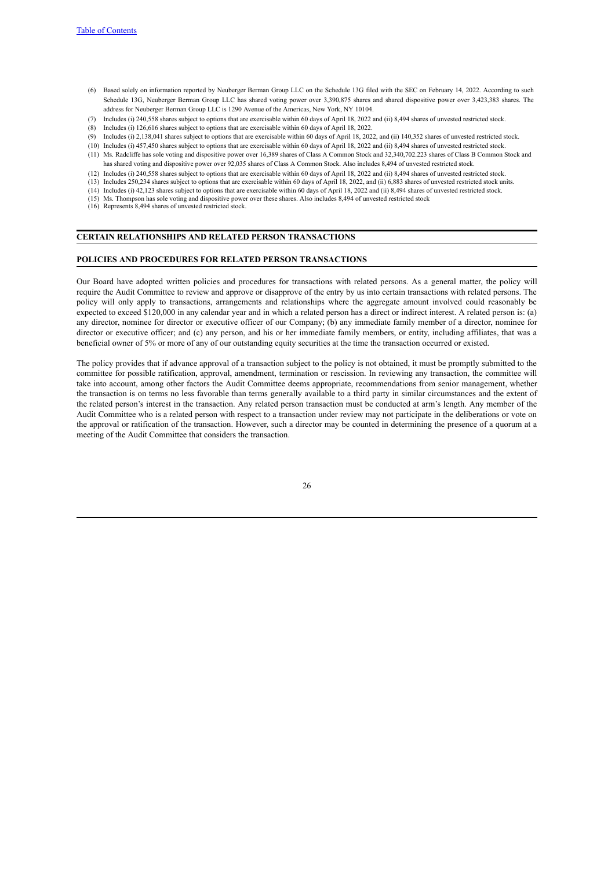- (6) Based solely on information reported by Neuberger Berman Group LLC on the Schedule 13G filed with the SEC on February 14, 2022. According to such Schedule 13G, Neuberger Berman Group LLC has shared voting power over 3,390,875 shares and shared dispositive power over 3,423,383 shares. The address for Neuberger Berman Group LLC is 1290 Avenue of the Americas, New York, NY 10104.
- (7) Includes (i) 240,558 shares subject to options that are exercisable within 60 days of April 18, 2022 and (ii) 8,494 shares of unvested restricted stock.
- (8) Includes (i) 126,616 shares subject to options that are exercisable within 60 days of April 18, 2022.
- (9) Includes (i) 2,138,041 shares subject to options that are exercisable within 60 days of April 18, 2022, and (ii) 140,352 shares of unvested restricted stock.
- (10) Includes (i) 457,450 shares subject to options that are exercisable within 60 days of April 18, 2022 and (ii) 8,494 shares of unvested restricted stock.
- (11) Ms. Radcliffe has sole voting and dispositive power over 16,389 shares of Class A Common Stock and 32,340,702.223 shares of Class B Common Stock and has shared voting and dispositive power over 92,035 shares of Class A Common Stock. Also includes 8,494 of unvested restricted stock.
- (12) Includes (i) 240,558 shares subject to options that are exercisable within 60 days of April 18, 2022 and (ii) 8,494 shares of unvested restricted stock.
- (13) Includes 250,234 shares subject to options that are exercisable within 60 days of April 18, 2022, and (ii) 6,883 shares of unvested restricted stock units.
- (14) Includes (i) 42,123 shares subject to options that are exercisable within 60 days of April 18, 2022 and (ii) 8,494 shares of unvested restricted stock. (15) Ms. Thompson has sole voting and dispositive power over these shares. Also includes 8,494 of unvested restricted stock
- <span id="page-29-1"></span><span id="page-29-0"></span>(16) Represents 8,494 shares of unvested restricted stock.

#### **CERTAIN RELATIONSHIPS AND RELATED PERSON TRANSACTIONS**

#### **POLICIES AND PROCEDURES FOR RELATED PERSON TRANSACTIONS**

Our Board have adopted written policies and procedures for transactions with related persons. As a general matter, the policy will require the Audit Committee to review and approve or disapprove of the entry by us into certain transactions with related persons. The policy will only apply to transactions, arrangements and relationships where the aggregate amount involved could reasonably be expected to exceed \$120,000 in any calendar year and in which a related person has a direct or indirect interest. A related person is: (a) any director, nominee for director or executive officer of our Company; (b) any immediate family member of a director, nominee for director or executive officer; and (c) any person, and his or her immediate family members, or entity, including affiliates, that was a beneficial owner of 5% or more of any of our outstanding equity securities at the time the transaction occurred or existed.

The policy provides that if advance approval of a transaction subject to the policy is not obtained, it must be promptly submitted to the committee for possible ratification, approval, amendment, termination or rescission. In reviewing any transaction, the committee will take into account, among other factors the Audit Committee deems appropriate, recommendations from senior management, whether the transaction is on terms no less favorable than terms generally available to a third party in similar circumstances and the extent of the related person's interest in the transaction. Any related person transaction must be conducted at arm's length. Any member of the Audit Committee who is a related person with respect to a transaction under review may not participate in the deliberations or vote on the approval or ratification of the transaction. However, such a director may be counted in determining the presence of a quorum at a meeting of the Audit Committee that considers the transaction.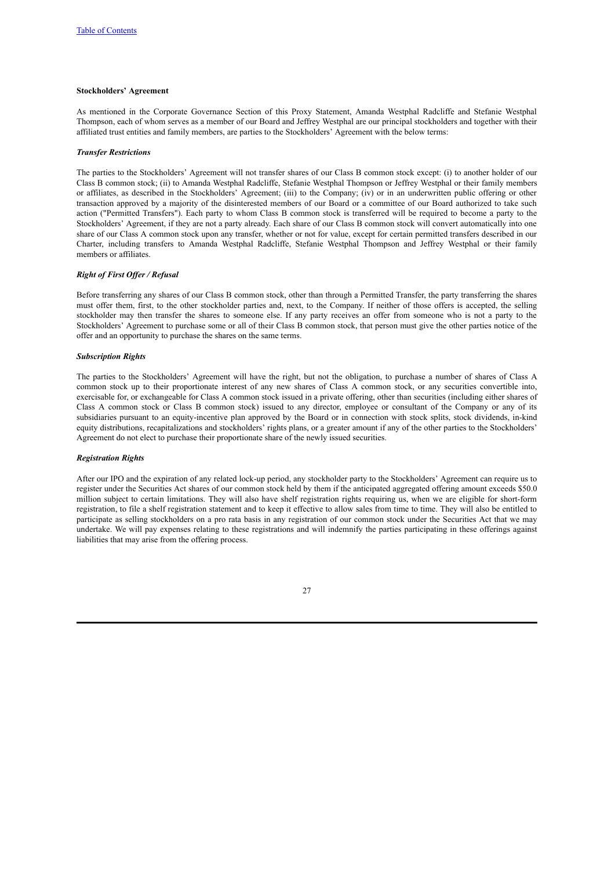## **Stockholders' Agreement**

As mentioned in the Corporate Governance Section of this Proxy Statement, Amanda Westphal Radcliffe and Stefanie Westphal Thompson, each of whom serves as a member of our Board and Jeffrey Westphal are our principal stockholders and together with their affiliated trust entities and family members, are parties to the Stockholders' Agreement with the below terms:

#### *Transfer Restrictions*

The parties to the Stockholders' Agreement will not transfer shares of our Class B common stock except: (i) to another holder of our Class B common stock; (ii) to Amanda Westphal Radcliffe, Stefanie Westphal Thompson or Jeffrey Westphal or their family members or affiliates, as described in the Stockholders' Agreement; (iii) to the Company; (iv) or in an underwritten public offering or other transaction approved by a majority of the disinterested members of our Board or a committee of our Board authorized to take such action ("Permitted Transfers"). Each party to whom Class B common stock is transferred will be required to become a party to the Stockholders' Agreement, if they are not a party already. Each share of our Class B common stock will convert automatically into one share of our Class A common stock upon any transfer, whether or not for value, except for certain permitted transfers described in our Charter, including transfers to Amanda Westphal Radcliffe, Stefanie Westphal Thompson and Jeffrey Westphal or their family members or affiliates.

#### *Right of First Of er / Refusal*

Before transferring any shares of our Class B common stock, other than through a Permitted Transfer, the party transferring the shares must offer them, first, to the other stockholder parties and, next, to the Company. If neither of those offers is accepted, the selling stockholder may then transfer the shares to someone else. If any party receives an offer from someone who is not a party to the Stockholders' Agreement to purchase some or all of their Class B common stock, that person must give the other parties notice of the offer and an opportunity to purchase the shares on the same terms.

#### *Subscription Rights*

The parties to the Stockholders' Agreement will have the right, but not the obligation, to purchase a number of shares of Class A common stock up to their proportionate interest of any new shares of Class A common stock, or any securities convertible into, exercisable for, or exchangeable for Class A common stock issued in a private offering, other than securities (including either shares of Class A common stock or Class B common stock) issued to any director, employee or consultant of the Company or any of its subsidiaries pursuant to an equity-incentive plan approved by the Board or in connection with stock splits, stock dividends, in-kind equity distributions, recapitalizations and stockholders' rights plans, or a greater amount if any of the other parties to the Stockholders' Agreement do not elect to purchase their proportionate share of the newly issued securities.

#### *Registration Rights*

After our IPO and the expiration of any related lock-up period, any stockholder party to the Stockholders' Agreement can require us to register under the Securities Act shares of our common stock held by them if the anticipated aggregated offering amount exceeds \$50.0 million subject to certain limitations. They will also have shelf registration rights requiring us, when we are eligible for short-form registration, to file a shelf registration statement and to keep it effective to allow sales from time to time. They will also be entitled to participate as selling stockholders on a pro rata basis in any registration of our common stock under the Securities Act that we may undertake. We will pay expenses relating to these registrations and will indemnify the parties participating in these offerings against liabilities that may arise from the offering process.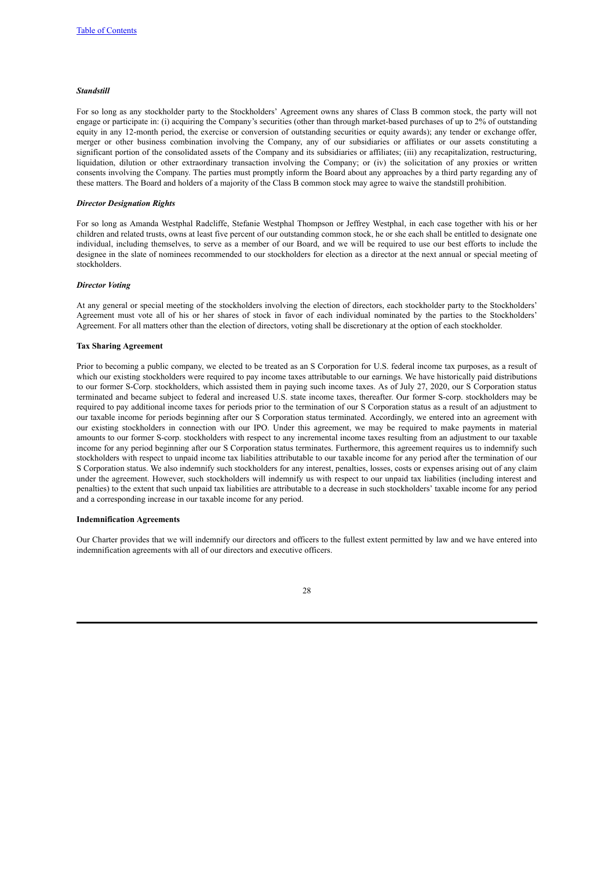#### *Standstill*

For so long as any stockholder party to the Stockholders' Agreement owns any shares of Class B common stock, the party will not engage or participate in: (i) acquiring the Company's securities (other than through market-based purchases of up to 2% of outstanding equity in any 12-month period, the exercise or conversion of outstanding securities or equity awards); any tender or exchange offer, merger or other business combination involving the Company, any of our subsidiaries or affiliates or our assets constituting a significant portion of the consolidated assets of the Company and its subsidiaries or affiliates; (iii) any recapitalization, restructuring, liquidation, dilution or other extraordinary transaction involving the Company; or (iv) the solicitation of any proxies or written consents involving the Company. The parties must promptly inform the Board about any approaches by a third party regarding any of these matters. The Board and holders of a majority of the Class B common stock may agree to waive the standstill prohibition.

#### *Director Designation Rights*

For so long as Amanda Westphal Radcliffe, Stefanie Westphal Thompson or Jeffrey Westphal, in each case together with his or her children and related trusts, owns at least five percent of our outstanding common stock, he or she each shall be entitled to designate one individual, including themselves, to serve as a member of our Board, and we will be required to use our best efforts to include the designee in the slate of nominees recommended to our stockholders for election as a director at the next annual or special meeting of stockholders.

#### *Director Voting*

At any general or special meeting of the stockholders involving the election of directors, each stockholder party to the Stockholders' Agreement must vote all of his or her shares of stock in favor of each individual nominated by the parties to the Stockholders' Agreement. For all matters other than the election of directors, voting shall be discretionary at the option of each stockholder.

#### **Tax Sharing Agreement**

Prior to becoming a public company, we elected to be treated as an S Corporation for U.S. federal income tax purposes, as a result of which our existing stockholders were required to pay income taxes attributable to our earnings. We have historically paid distributions to our former S-Corp. stockholders, which assisted them in paying such income taxes. As of July 27, 2020, our S Corporation status terminated and became subject to federal and increased U.S. state income taxes, thereafter. Our former S-corp. stockholders may be required to pay additional income taxes for periods prior to the termination of our S Corporation status as a result of an adjustment to our taxable income for periods beginning after our S Corporation status terminated. Accordingly, we entered into an agreement with our existing stockholders in connection with our IPO. Under this agreement, we may be required to make payments in material amounts to our former S-corp. stockholders with respect to any incremental income taxes resulting from an adjustment to our taxable income for any period beginning after our S Corporation status terminates. Furthermore, this agreement requires us to indemnify such stockholders with respect to unpaid income tax liabilities attributable to our taxable income for any period after the termination of our S Corporation status. We also indemnify such stockholders for any interest, penalties, losses, costs or expenses arising out of any claim under the agreement. However, such stockholders will indemnify us with respect to our unpaid tax liabilities (including interest and penalties) to the extent that such unpaid tax liabilities are attributable to a decrease in such stockholders' taxable income for any period and a corresponding increase in our taxable income for any period.

#### **Indemnification Agreements**

Our Charter provides that we will indemnify our directors and officers to the fullest extent permitted by law and we have entered into indemnification agreements with all of our directors and executive officers.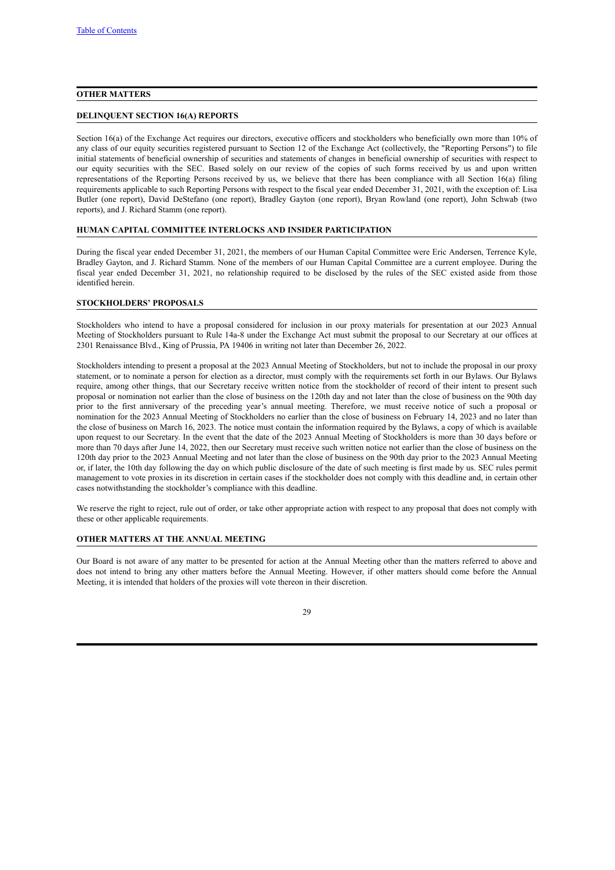## <span id="page-32-0"></span>**OTHER MATTERS**

#### <span id="page-32-1"></span>**DELINQUENT SECTION 16(A) REPORTS**

Section 16(a) of the Exchange Act requires our directors, executive officers and stockholders who beneficially own more than 10% of any class of our equity securities registered pursuant to Section 12 of the Exchange Act (collectively, the "Reporting Persons") to file initial statements of beneficial ownership of securities and statements of changes in beneficial ownership of securities with respect to our equity securities with the SEC. Based solely on our review of the copies of such forms received by us and upon written representations of the Reporting Persons received by us, we believe that there has been compliance with all Section 16(a) filing requirements applicable to such Reporting Persons with respect to the fiscal year ended December 31, 2021, with the exception of: Lisa Butler (one report), David DeStefano (one report), Bradley Gayton (one report), Bryan Rowland (one report), John Schwab (two reports), and J. Richard Stamm (one report).

#### <span id="page-32-2"></span>**HUMAN CAPITAL COMMITTEE INTERLOCKS AND INSIDER PARTICIPATION**

During the fiscal year ended December 31, 2021, the members of our Human Capital Committee were Eric Andersen, Terrence Kyle, Bradley Gayton, and J. Richard Stamm. None of the members of our Human Capital Committee are a current employee. During the fiscal year ended December 31, 2021, no relationship required to be disclosed by the rules of the SEC existed aside from those identified herein.

#### <span id="page-32-3"></span>**STOCKHOLDERS' PROPOSALS**

Stockholders who intend to have a proposal considered for inclusion in our proxy materials for presentation at our 2023 Annual Meeting of Stockholders pursuant to Rule 14a-8 under the Exchange Act must submit the proposal to our Secretary at our offices at 2301 Renaissance Blvd., King of Prussia, PA 19406 in writing not later than December 26, 2022.

Stockholders intending to present a proposal at the 2023 Annual Meeting of Stockholders, but not to include the proposal in our proxy statement, or to nominate a person for election as a director, must comply with the requirements set forth in our Bylaws. Our Bylaws require, among other things, that our Secretary receive written notice from the stockholder of record of their intent to present such proposal or nomination not earlier than the close of business on the 120th day and not later than the close of business on the 90th day prior to the first anniversary of the preceding year's annual meeting. Therefore, we must receive notice of such a proposal or nomination for the 2023 Annual Meeting of Stockholders no earlier than the close of business on February 14, 2023 and no later than the close of business on March 16, 2023. The notice must contain the information required by the Bylaws, a copy of which is available upon request to our Secretary. In the event that the date of the 2023 Annual Meeting of Stockholders is more than 30 days before or more than 70 days after June 14, 2022, then our Secretary must receive such written notice not earlier than the close of business on the 120th day prior to the 2023 Annual Meeting and not later than the close of business on the 90th day prior to the 2023 Annual Meeting or, if later, the 10th day following the day on which public disclosure of the date of such meeting is first made by us. SEC rules permit management to vote proxies in its discretion in certain cases if the stockholder does not comply with this deadline and, in certain other cases notwithstanding the stockholder's compliance with this deadline.

We reserve the right to reject, rule out of order, or take other appropriate action with respect to any proposal that does not comply with these or other applicable requirements.

## **OTHER MATTERS AT THE ANNUAL MEETING**

Our Board is not aware of any matter to be presented for action at the Annual Meeting other than the matters referred to above and does not intend to bring any other matters before the Annual Meeting. However, if other matters should come before the Annual Meeting, it is intended that holders of the proxies will vote thereon in their discretion.

<span id="page-32-4"></span>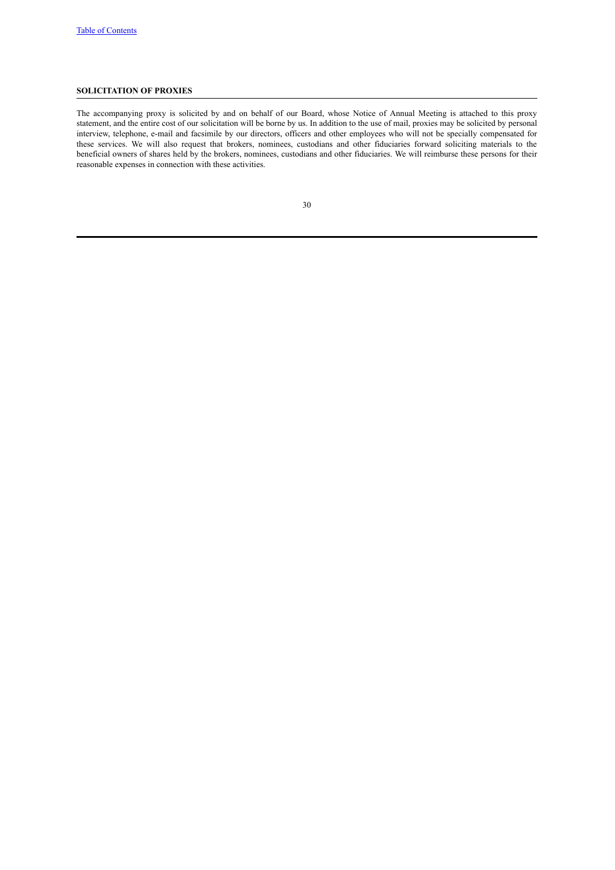## <span id="page-33-0"></span>**SOLICITATION OF PROXIES**

The accompanying proxy is solicited by and on behalf of our Board, whose Notice of Annual Meeting is attached to this proxy statement, and the entire cost of our solicitation will be borne by us. In addition to the use of mail, proxies may be solicited by personal interview, telephone, e-mail and facsimile by our directors, officers and other employees who will not be specially compensated for these services. We will also request that brokers, nominees, custodians and other fiduciaries forward soliciting materials to the beneficial owners of shares held by the brokers, nominees, custodians and other fiduciaries. We will reimburse these persons for their reasonable expenses in connection with these activities.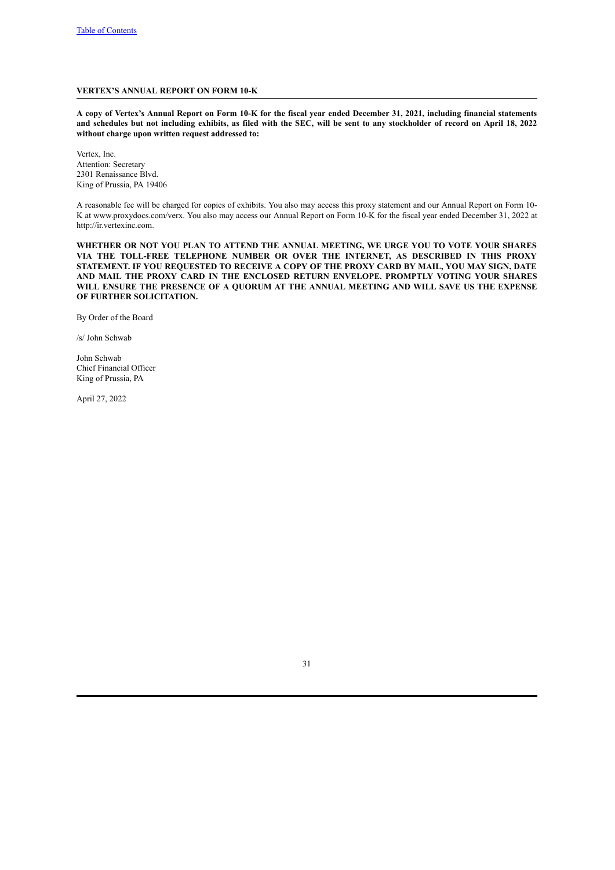## <span id="page-34-0"></span>**VERTEX'S ANNUAL REPORT ON FORM 10-K**

A copy of Vertex's Annual Report on Form 10-K for the fiscal year ended December 31, 2021, including financial statements and schedules but not including exhibits, as filed with the SEC, will be sent to any stockholder of record on April 18, 2022 **without charge upon written request addressed to:**

Vertex, Inc. Attention: Secretary 2301 Renaissance Blvd. King of Prussia, PA 19406

A reasonable fee will be charged for copies of exhibits. You also may access this proxy statement and our Annual Report on Form 10- K at www.proxydocs.com/verx. You also may access our Annual Report on Form 10-K for the fiscal year ended December 31, 2022 at http://ir.vertexinc.com.

**WHETHER OR NOT YOU PLAN TO ATTEND THE ANNUAL MEETING, WE URGE YOU TO VOTE YOUR SHARES VIA THE TOLL-FREE TELEPHONE NUMBER OR OVER THE INTERNET, AS DESCRIBED IN THIS PROXY STATEMENT. IF YOU REQUESTED TO RECEIVE A COPY OF THE PROXY CARD BY MAIL, YOU MAY SIGN, DATE AND MAIL THE PROXY CARD IN THE ENCLOSED RETURN ENVELOPE. PROMPTLY VOTING YOUR SHARES WILL ENSURE THE PRESENCE OF A QUORUM AT THE ANNUAL MEETING AND WILL SAVE US THE EXPENSE OF FURTHER SOLICITATION.**

By Order of the Board

/s/ John Schwab

John Schwab Chief Financial Officer King of Prussia, PA

April 27, 2022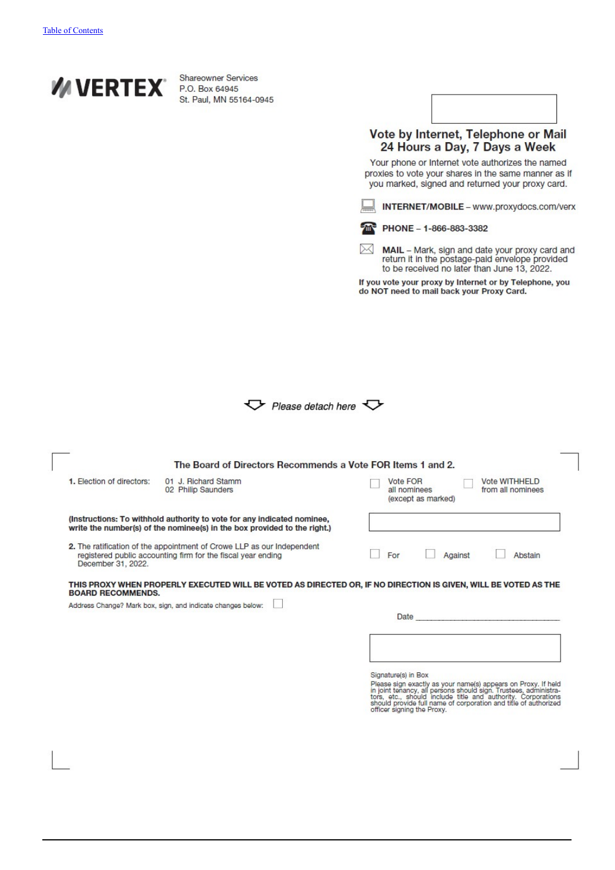

**Shareowner Services** P.O. Box 64945 St. Paul, MN 55164-0945

| 64-0945            |                                                                                                                                                         |
|--------------------|---------------------------------------------------------------------------------------------------------------------------------------------------------|
|                    | Vote by Internet, Telephone or Mail<br>24 Hours a Day, 7 Days a Week<br>Your phone or Internet vote authorizes the named                                |
|                    | proxies to vote your shares in the same manner as if<br>you marked, signed and returned your proxy card.                                                |
|                    | INTERNET/MOBILE - www.proxydocs.com/verx                                                                                                                |
|                    | PHONE - 1-866-883-3382                                                                                                                                  |
|                    | <b>MAIL</b> – Mark, sign and date your proxy card and<br>return it in the postage-paid envelope provided<br>to be received no later than June 13, 2022. |
|                    | If you vote your proxy by Internet or by Telephone, you<br>do NOT need to mail back your Proxy Card.                                                    |
|                    |                                                                                                                                                         |
|                    |                                                                                                                                                         |
|                    |                                                                                                                                                         |
|                    |                                                                                                                                                         |
| Please detach here |                                                                                                                                                         |

| 1. Election of directors: | 01 J. Richard Stamm<br>02 Philip Saunders                                                                                                           | Vote FOR<br><b>Vote WITHHELD</b><br>from all nominees<br>all nominees<br>(except as marked) |
|---------------------------|-----------------------------------------------------------------------------------------------------------------------------------------------------|---------------------------------------------------------------------------------------------|
|                           | (Instructions: To withhold authority to vote for any indicated nominee,<br>write the number(s) of the nominee(s) in the box provided to the right.) |                                                                                             |
| December 31, 2022.        | 2. The ratification of the appointment of Crowe LLP as our Independent<br>registered public accounting firm for the fiscal year ending              | For<br>Abstain<br>Against                                                                   |
|                           |                                                                                                                                                     |                                                                                             |
|                           | THIS PROXY WHEN PROPERLY EXECUTED WILL BE VOTED AS DIRECTED OR, IF NO DIRECTION IS GIVEN, WILL BE VOTED AS THE                                      |                                                                                             |
|                           | Address Change? Mark box, sign, and indicate changes below:                                                                                         |                                                                                             |
| <b>BOARD RECOMMENDS.</b>  |                                                                                                                                                     | <b>Date</b>                                                                                 |
|                           |                                                                                                                                                     |                                                                                             |
|                           |                                                                                                                                                     |                                                                                             |

Sylvature(s) in Dock Sylvator parameters appears on Proxy. If held<br>in joint tenancy, all persons should sign. Trustees, administrators, etc., should include title and authority. Corporations<br>thros, etc., should include tit